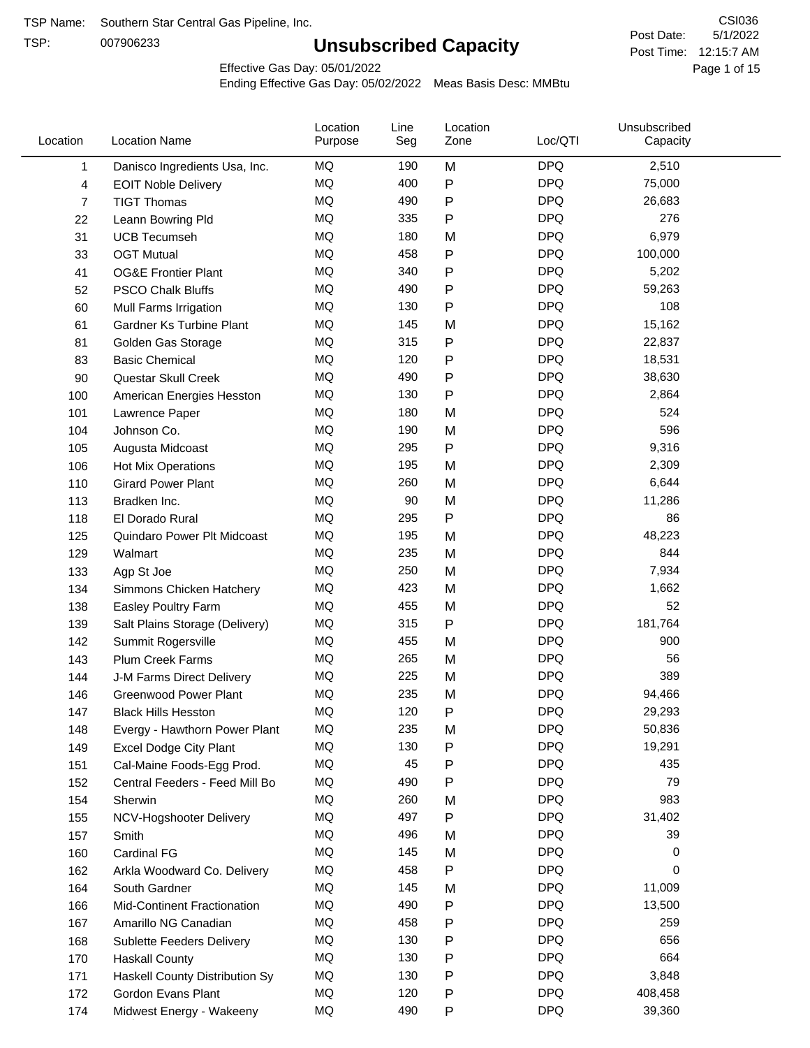TSP:

# **Unsubscribed Capacity**

5/1/2022 Page 1 of 15 Post Time: 12:15:7 AM CSI036 Post Date:

Effective Gas Day: 05/01/2022

| Location | <b>Location Name</b>               | Location<br>Purpose | Line<br>Seg | Location<br>Zone | Loc/QTI    | Unsubscribed<br>Capacity |  |
|----------|------------------------------------|---------------------|-------------|------------------|------------|--------------------------|--|
| 1        | Danisco Ingredients Usa, Inc.      | MQ                  | 190         | M                | <b>DPQ</b> | 2,510                    |  |
| 4        | <b>EOIT Noble Delivery</b>         | MQ                  | 400         | P                | <b>DPQ</b> | 75,000                   |  |
| 7        | <b>TIGT Thomas</b>                 | <b>MQ</b>           | 490         | P                | <b>DPQ</b> | 26,683                   |  |
| 22       | Leann Bowring Pld                  | <b>MQ</b>           | 335         | P                | <b>DPQ</b> | 276                      |  |
| 31       | <b>UCB Tecumseh</b>                | <b>MQ</b>           | 180         | M                | <b>DPQ</b> | 6,979                    |  |
| 33       | <b>OGT Mutual</b>                  | <b>MQ</b>           | 458         | P                | <b>DPQ</b> | 100,000                  |  |
| 41       | <b>OG&amp;E Frontier Plant</b>     | MQ                  | 340         | P                | <b>DPQ</b> | 5,202                    |  |
| 52       | <b>PSCO Chalk Bluffs</b>           | MQ                  | 490         | P                | <b>DPQ</b> | 59,263                   |  |
| 60       | Mull Farms Irrigation              | MQ                  | 130         | P                | <b>DPQ</b> | 108                      |  |
| 61       | Gardner Ks Turbine Plant           | <b>MQ</b>           | 145         | M                | <b>DPQ</b> | 15,162                   |  |
| 81       | Golden Gas Storage                 | MQ                  | 315         | P                | <b>DPQ</b> | 22,837                   |  |
| 83       | <b>Basic Chemical</b>              | <b>MQ</b>           | 120         | P                | <b>DPQ</b> | 18,531                   |  |
| 90       | Questar Skull Creek                | MQ                  | 490         | P                | <b>DPQ</b> | 38,630                   |  |
| 100      | American Energies Hesston          | <b>MQ</b>           | 130         | P                | <b>DPQ</b> | 2,864                    |  |
| 101      | Lawrence Paper                     | MQ                  | 180         | M                | <b>DPQ</b> | 524                      |  |
| 104      | Johnson Co.                        | MQ                  | 190         | M                | <b>DPQ</b> | 596                      |  |
| 105      | Augusta Midcoast                   | <b>MQ</b>           | 295         | P                | <b>DPQ</b> | 9,316                    |  |
| 106      | <b>Hot Mix Operations</b>          | MQ                  | 195         | M                | <b>DPQ</b> | 2,309                    |  |
| 110      | <b>Girard Power Plant</b>          | <b>MQ</b>           | 260         | M                | <b>DPQ</b> | 6,644                    |  |
| 113      | Bradken Inc.                       | MQ                  | 90          | M                | <b>DPQ</b> | 11,286                   |  |
| 118      | El Dorado Rural                    | MQ                  | 295         | P                | <b>DPQ</b> | 86                       |  |
| 125      | Quindaro Power Plt Midcoast        | <b>MQ</b>           | 195         | M                | <b>DPQ</b> | 48,223                   |  |
| 129      | Walmart                            | <b>MQ</b>           | 235         | M                | <b>DPQ</b> | 844                      |  |
| 133      | Agp St Joe                         | <b>MQ</b>           | 250         | M                | <b>DPQ</b> | 7,934                    |  |
| 134      | Simmons Chicken Hatchery           | MQ                  | 423         | M                | <b>DPQ</b> | 1,662                    |  |
| 138      | Easley Poultry Farm                | MQ                  | 455         | M                | <b>DPQ</b> | 52                       |  |
| 139      | Salt Plains Storage (Delivery)     | MQ                  | 315         | P                | <b>DPQ</b> | 181,764                  |  |
| 142      | Summit Rogersville                 | MQ                  | 455         | M                | <b>DPQ</b> | 900                      |  |
| 143      | <b>Plum Creek Farms</b>            | MQ                  | 265         | M                | <b>DPQ</b> | 56                       |  |
| 144      | J-M Farms Direct Delivery          | MQ                  | 225         | M                | <b>DPQ</b> | 389                      |  |
| 146      | <b>Greenwood Power Plant</b>       | MQ                  | 235         | M                | <b>DPQ</b> | 94,466                   |  |
| 147      | <b>Black Hills Hesston</b>         | MQ                  | 120         | Ρ                | <b>DPQ</b> | 29,293                   |  |
| 148      | Evergy - Hawthorn Power Plant      | ΜQ                  | 235         | M                | <b>DPQ</b> | 50,836                   |  |
| 149      | <b>Excel Dodge City Plant</b>      | MQ                  | 130         | Ρ                | <b>DPQ</b> | 19,291                   |  |
| 151      | Cal-Maine Foods-Egg Prod.          | MQ                  | 45          | P                | <b>DPQ</b> | 435                      |  |
| 152      | Central Feeders - Feed Mill Bo     | MQ                  | 490         | P                | <b>DPQ</b> | 79                       |  |
| 154      | Sherwin                            | MQ                  | 260         | M                | <b>DPQ</b> | 983                      |  |
| 155      | NCV-Hogshooter Delivery            | MQ                  | 497         | P                | <b>DPQ</b> | 31,402                   |  |
| 157      | Smith                              | MQ                  | 496         | M                | <b>DPQ</b> | 39                       |  |
| 160      | <b>Cardinal FG</b>                 | MQ                  | 145         | M                | <b>DPQ</b> | 0                        |  |
| 162      | Arkla Woodward Co. Delivery        | MQ                  | 458         | P                | <b>DPQ</b> | 0                        |  |
| 164      | South Gardner                      | MQ                  | 145         | M                | <b>DPQ</b> | 11,009                   |  |
| 166      | <b>Mid-Continent Fractionation</b> | MQ                  | 490         | Ρ                | <b>DPQ</b> | 13,500                   |  |
| 167      | Amarillo NG Canadian               | MQ                  | 458         | P                | <b>DPQ</b> | 259                      |  |
| 168      | Sublette Feeders Delivery          | MQ                  | 130         | Ρ                | <b>DPQ</b> | 656                      |  |
| 170      | <b>Haskall County</b>              | MQ                  | 130         | P                | <b>DPQ</b> | 664                      |  |
| 171      | Haskell County Distribution Sy     | MQ                  | 130         | Ρ                | <b>DPQ</b> | 3,848                    |  |
| 172      | Gordon Evans Plant                 | MQ                  | 120         | Ρ                | <b>DPQ</b> | 408,458                  |  |
| 174      | Midwest Energy - Wakeeny           | MQ                  | 490         | P                | <b>DPQ</b> | 39,360                   |  |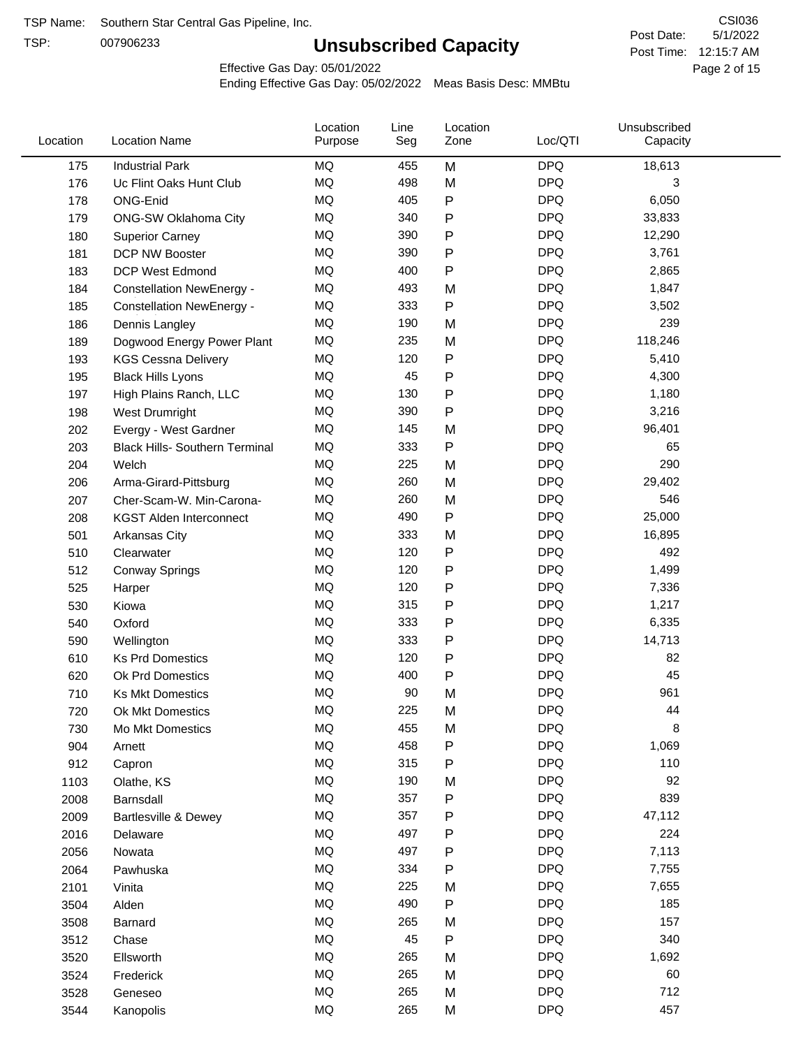TSP:

# **Unsubscribed Capacity**

5/1/2022 Page 2 of 15 Post Time: 12:15:7 AM CSI036 Post Date:

Effective Gas Day: 05/01/2022

| Location | <b>Location Name</b>                  | Location<br>Purpose | Line<br>Seg | Location<br>Zone | Loc/QTI    | Unsubscribed<br>Capacity |  |
|----------|---------------------------------------|---------------------|-------------|------------------|------------|--------------------------|--|
| 175      | <b>Industrial Park</b>                | MQ                  | 455         | M                | <b>DPQ</b> | 18,613                   |  |
| 176      | Uc Flint Oaks Hunt Club               | <b>MQ</b>           | 498         | M                | <b>DPQ</b> | 3                        |  |
| 178      | ONG-Enid                              | MQ                  | 405         | P                | <b>DPQ</b> | 6,050                    |  |
| 179      | <b>ONG-SW Oklahoma City</b>           | MQ                  | 340         | P                | <b>DPQ</b> | 33,833                   |  |
| 180      | <b>Superior Carney</b>                | MQ                  | 390         | Ρ                | <b>DPQ</b> | 12,290                   |  |
| 181      | <b>DCP NW Booster</b>                 | MQ                  | 390         | P                | <b>DPQ</b> | 3,761                    |  |
| 183      | <b>DCP West Edmond</b>                | MQ                  | 400         | P                | <b>DPQ</b> | 2,865                    |  |
| 184      | <b>Constellation NewEnergy -</b>      | MQ                  | 493         | M                | <b>DPQ</b> | 1,847                    |  |
| 185      | <b>Constellation NewEnergy -</b>      | MQ                  | 333         | Ρ                | <b>DPQ</b> | 3,502                    |  |
| 186      | Dennis Langley                        | MQ                  | 190         | M                | <b>DPQ</b> | 239                      |  |
| 189      | Dogwood Energy Power Plant            | MQ                  | 235         | M                | <b>DPQ</b> | 118,246                  |  |
| 193      | <b>KGS Cessna Delivery</b>            | MQ                  | 120         | P                | <b>DPQ</b> | 5,410                    |  |
| 195      | <b>Black Hills Lyons</b>              | <b>MQ</b>           | 45          | P                | <b>DPQ</b> | 4,300                    |  |
| 197      | High Plains Ranch, LLC                | MQ                  | 130         | P                | <b>DPQ</b> | 1,180                    |  |
| 198      | West Drumright                        | <b>MQ</b>           | 390         | P                | <b>DPQ</b> | 3,216                    |  |
| 202      | Evergy - West Gardner                 | <b>MQ</b>           | 145         | M                | <b>DPQ</b> | 96,401                   |  |
| 203      | <b>Black Hills- Southern Terminal</b> | MQ                  | 333         | P                | <b>DPQ</b> | 65                       |  |
| 204      | Welch                                 | MQ                  | 225         | M                | <b>DPQ</b> | 290                      |  |
| 206      | Arma-Girard-Pittsburg                 | MQ                  | 260         | M                | <b>DPQ</b> | 29,402                   |  |
| 207      | Cher-Scam-W. Min-Carona-              | MQ                  | 260         | M                | <b>DPQ</b> | 546                      |  |
| 208      | <b>KGST Alden Interconnect</b>        | MQ                  | 490         | P                | <b>DPQ</b> | 25,000                   |  |
| 501      | Arkansas City                         | <b>MQ</b>           | 333         | M                | <b>DPQ</b> | 16,895                   |  |
| 510      | Clearwater                            | MQ                  | 120         | Ρ                | <b>DPQ</b> | 492                      |  |
| 512      | <b>Conway Springs</b>                 | MQ                  | 120         | P                | <b>DPQ</b> | 1,499                    |  |
| 525      | Harper                                | <b>MQ</b>           | 120         | P                | <b>DPQ</b> | 7,336                    |  |
| 530      | Kiowa                                 | MQ                  | 315         | P                | <b>DPQ</b> | 1,217                    |  |
| 540      | Oxford                                | <b>MQ</b>           | 333         | P                | <b>DPQ</b> | 6,335                    |  |
| 590      | Wellington                            | MQ                  | 333         | Ρ                | <b>DPQ</b> | 14,713                   |  |
| 610      | <b>Ks Prd Domestics</b>               | MQ                  | 120         | P                | <b>DPQ</b> | 82                       |  |
| 620      | Ok Prd Domestics                      | MQ                  | 400         | P                | <b>DPQ</b> | 45                       |  |
| 710      | <b>Ks Mkt Domestics</b>               | <b>MQ</b>           | 90          | M                | <b>DPQ</b> | 961                      |  |
| 720      | Ok Mkt Domestics                      | MQ                  | 225         | M                | <b>DPQ</b> | 44                       |  |
| 730      | Mo Mkt Domestics                      | MQ                  | 455         | M                | <b>DPQ</b> | 8                        |  |
| 904      | Arnett                                | $\sf{MQ}$           | 458         | P                | <b>DPQ</b> | 1,069                    |  |
| 912      | Capron                                | MQ                  | 315         | Ρ                | <b>DPQ</b> | 110                      |  |
| 1103     | Olathe, KS                            | MQ                  | 190         | M                | <b>DPQ</b> | 92                       |  |
| 2008     | Barnsdall                             | MQ                  | 357         | Ρ                | <b>DPQ</b> | 839                      |  |
| 2009     | <b>Bartlesville &amp; Dewey</b>       | MQ                  | 357         | Ρ                | <b>DPQ</b> | 47,112                   |  |
| 2016     | Delaware                              | MQ                  | 497         | Ρ                | <b>DPQ</b> | 224                      |  |
| 2056     | Nowata                                | MQ                  | 497         | Ρ                | <b>DPQ</b> | 7,113                    |  |
| 2064     | Pawhuska                              | MQ                  | 334         | Ρ                | <b>DPQ</b> | 7,755                    |  |
| 2101     | Vinita                                | MQ                  | 225         | M                | <b>DPQ</b> | 7,655                    |  |
| 3504     | Alden                                 | MQ                  | 490         | Ρ                | <b>DPQ</b> | 185                      |  |
| 3508     | Barnard                               | MQ                  | 265         | M                | <b>DPQ</b> | 157                      |  |
| 3512     | Chase                                 | MQ                  | 45          | Ρ                | <b>DPQ</b> | 340                      |  |
| 3520     | Ellsworth                             | MQ                  | 265         | M                | <b>DPQ</b> | 1,692                    |  |
| 3524     | Frederick                             | MQ                  | 265         | M                | <b>DPQ</b> | 60                       |  |
| 3528     | Geneseo                               | MQ                  | 265         | M                | <b>DPQ</b> | 712                      |  |
| 3544     | Kanopolis                             | $\sf{MQ}$           | 265         | M                | <b>DPQ</b> | 457                      |  |
|          |                                       |                     |             |                  |            |                          |  |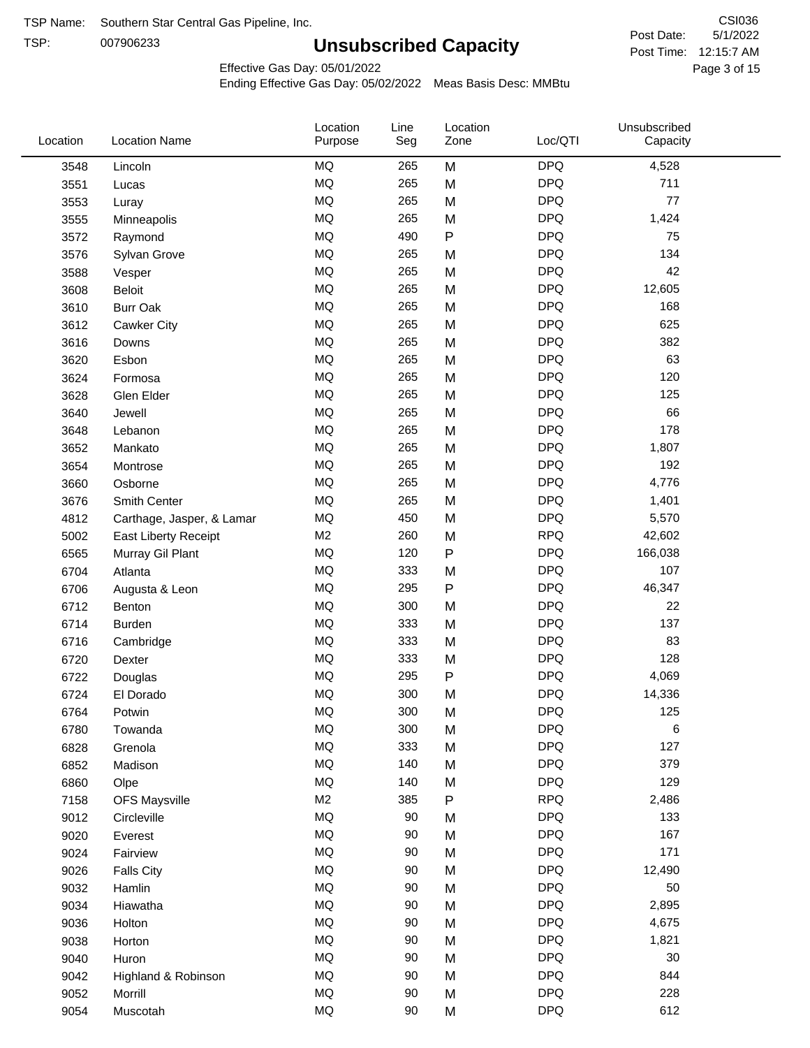TSP: 

# **Unsubscribed Capacity**

5/1/2022 Page 3 of 15 Post Time: 12:15:7 AM CSI036 Post Date:

Effective Gas Day: 05/01/2022

| Location | <b>Location Name</b>      | Location<br>Purpose | Line<br>Seg | Location<br>Zone | Loc/QTI    | Unsubscribed<br>Capacity |  |
|----------|---------------------------|---------------------|-------------|------------------|------------|--------------------------|--|
| 3548     | Lincoln                   | MQ                  | 265         | M                | <b>DPQ</b> | 4,528                    |  |
| 3551     | Lucas                     | MQ                  | 265         | M                | <b>DPQ</b> | 711                      |  |
| 3553     | Luray                     | MQ                  | 265         | M                | <b>DPQ</b> | 77                       |  |
| 3555     | Minneapolis               | <b>MQ</b>           | 265         | M                | <b>DPQ</b> | 1,424                    |  |
| 3572     | Raymond                   | <b>MQ</b>           | 490         | $\mathsf{P}$     | <b>DPQ</b> | 75                       |  |
| 3576     | Sylvan Grove              | MQ                  | 265         | M                | <b>DPQ</b> | 134                      |  |
| 3588     | Vesper                    | MQ                  | 265         | M                | <b>DPQ</b> | 42                       |  |
| 3608     | <b>Beloit</b>             | MQ                  | 265         | M                | <b>DPQ</b> | 12,605                   |  |
| 3610     | <b>Burr Oak</b>           | MQ                  | 265         | M                | <b>DPQ</b> | 168                      |  |
| 3612     | <b>Cawker City</b>        | <b>MQ</b>           | 265         | M                | <b>DPQ</b> | 625                      |  |
| 3616     | Downs                     | MQ                  | 265         | M                | <b>DPQ</b> | 382                      |  |
| 3620     | Esbon                     | MQ                  | 265         | M                | <b>DPQ</b> | 63                       |  |
| 3624     | Formosa                   | MQ                  | 265         | M                | <b>DPQ</b> | 120                      |  |
| 3628     | Glen Elder                | MQ                  | 265         | M                | <b>DPQ</b> | 125                      |  |
| 3640     | Jewell                    | MQ                  | 265         | M                | <b>DPQ</b> | 66                       |  |
| 3648     | Lebanon                   | MQ                  | 265         | M                | <b>DPQ</b> | 178                      |  |
| 3652     | Mankato                   | MQ                  | 265         | M                | <b>DPQ</b> | 1,807                    |  |
| 3654     | Montrose                  | <b>MQ</b>           | 265         | M                | <b>DPQ</b> | 192                      |  |
| 3660     | Osborne                   | <b>MQ</b>           | 265         | M                | <b>DPQ</b> | 4,776                    |  |
| 3676     | Smith Center              | MQ                  | 265         | M                | <b>DPQ</b> | 1,401                    |  |
| 4812     | Carthage, Jasper, & Lamar | $\sf{MQ}$           | 450         | M                | <b>DPQ</b> | 5,570                    |  |
| 5002     | East Liberty Receipt      | M2                  | 260         | M                | <b>RPQ</b> | 42,602                   |  |
| 6565     | Murray Gil Plant          | MQ                  | 120         | $\sf P$          | <b>DPQ</b> | 166,038                  |  |
| 6704     | Atlanta                   | MQ                  | 333         | M                | <b>DPQ</b> | 107                      |  |
| 6706     | Augusta & Leon            | MQ                  | 295         | ${\sf P}$        | <b>DPQ</b> | 46,347                   |  |
| 6712     | Benton                    | MQ                  | 300         | M                | <b>DPQ</b> | 22                       |  |
| 6714     | <b>Burden</b>             | <b>MQ</b>           | 333         | M                | <b>DPQ</b> | 137                      |  |
| 6716     | Cambridge                 | MQ                  | 333         | M                | <b>DPQ</b> | 83                       |  |
| 6720     | Dexter                    | MQ                  | 333         | M                | <b>DPQ</b> | 128                      |  |
| 6722     | Douglas                   | $\sf{MQ}$           | 295         | ${\sf P}$        | <b>DPQ</b> | 4,069                    |  |
| 6724     | El Dorado                 | <b>MQ</b>           | 300         | M                | <b>DPQ</b> | 14,336                   |  |
| 6764     | Potwin                    | <b>MQ</b>           | 300         | M                | <b>DPQ</b> | 125                      |  |
| 6780     | Towanda                   | MQ                  | 300         | M                | <b>DPQ</b> | 6                        |  |
| 6828     | Grenola                   | $\sf{MQ}$           | 333         | M                | <b>DPQ</b> | 127                      |  |
| 6852     | Madison                   | MQ                  | 140         | M                | <b>DPQ</b> | 379                      |  |
| 6860     | Olpe                      | MQ                  | 140         | M                | <b>DPQ</b> | 129                      |  |
| 7158     | <b>OFS Maysville</b>      | M2                  | 385         | ${\sf P}$        | <b>RPQ</b> | 2,486                    |  |
| 9012     | Circleville               | $\sf{MQ}$           | 90          | M                | <b>DPQ</b> | 133                      |  |
| 9020     | Everest                   | MQ                  | 90          | M                | <b>DPQ</b> | 167                      |  |
| 9024     | Fairview                  | $\sf{MQ}$           | 90          | M                | <b>DPQ</b> | 171                      |  |
| 9026     | <b>Falls City</b>         | MQ                  | 90          | M                | <b>DPQ</b> | 12,490                   |  |
| 9032     | Hamlin                    | MQ                  | 90          | M                | <b>DPQ</b> | 50                       |  |
| 9034     | Hiawatha                  | MQ                  | 90          | M                | <b>DPQ</b> | 2,895                    |  |
| 9036     | Holton                    | MQ                  | 90          | M                | <b>DPQ</b> | 4,675                    |  |
| 9038     | Horton                    | $\sf{MQ}$           | 90          | M                | <b>DPQ</b> | 1,821                    |  |
| 9040     | Huron                     | MQ                  | 90          | M                | <b>DPQ</b> | 30                       |  |
| 9042     | Highland & Robinson       | $\sf{MQ}$           | 90          | M                | <b>DPQ</b> | 844                      |  |
| 9052     | Morrill                   | $\sf{MQ}$           | 90          | M                | <b>DPQ</b> | 228                      |  |
| 9054     | Muscotah                  | $\sf{MQ}$           | 90          | M                | <b>DPQ</b> | 612                      |  |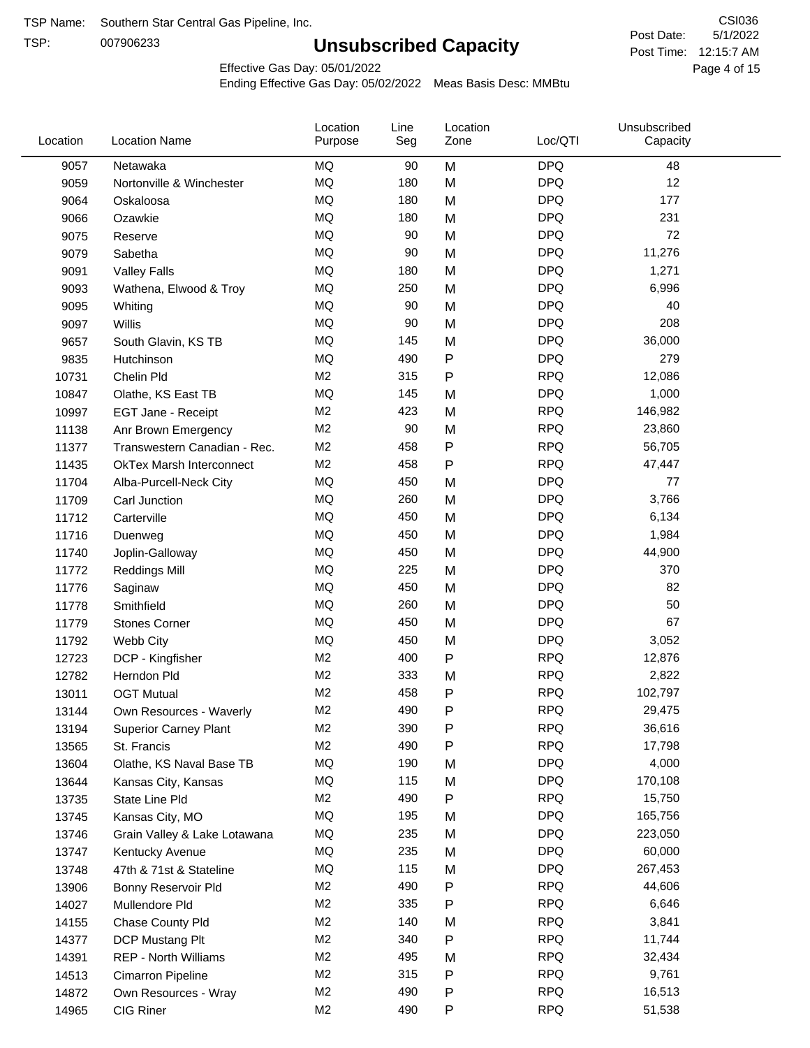TSP:

# **Unsubscribed Capacity**

5/1/2022 Page 4 of 15 Post Time: 12:15:7 AM CSI036 Post Date:

Effective Gas Day: 05/01/2022

| Location | <b>Location Name</b>            | Location<br>Purpose | Line<br>Seg | Location<br>Zone | Loc/QTI    | Unsubscribed<br>Capacity |  |
|----------|---------------------------------|---------------------|-------------|------------------|------------|--------------------------|--|
| 9057     | Netawaka                        | MQ                  | 90          | M                | <b>DPQ</b> | 48                       |  |
| 9059     | Nortonville & Winchester        | <b>MQ</b>           | 180         | M                | <b>DPQ</b> | 12                       |  |
| 9064     | Oskaloosa                       | MQ                  | 180         | M                | <b>DPQ</b> | 177                      |  |
| 9066     | Ozawkie                         | <b>MQ</b>           | 180         | M                | <b>DPQ</b> | 231                      |  |
| 9075     | Reserve                         | <b>MQ</b>           | 90          | M                | <b>DPQ</b> | 72                       |  |
| 9079     | Sabetha                         | <b>MQ</b>           | 90          | M                | <b>DPQ</b> | 11,276                   |  |
| 9091     | <b>Valley Falls</b>             | <b>MQ</b>           | 180         | M                | <b>DPQ</b> | 1,271                    |  |
| 9093     | Wathena, Elwood & Troy          | <b>MQ</b>           | 250         | M                | <b>DPQ</b> | 6,996                    |  |
| 9095     | Whiting                         | MQ                  | 90          | M                | <b>DPQ</b> | 40                       |  |
| 9097     | Willis                          | <b>MQ</b>           | 90          | M                | <b>DPQ</b> | 208                      |  |
| 9657     | South Glavin, KS TB             | <b>MQ</b>           | 145         | M                | <b>DPQ</b> | 36,000                   |  |
| 9835     | Hutchinson                      | MQ                  | 490         | P                | <b>DPQ</b> | 279                      |  |
| 10731    | Chelin Pld                      | M <sub>2</sub>      | 315         | Ρ                | <b>RPQ</b> | 12,086                   |  |
| 10847    | Olathe, KS East TB              | <b>MQ</b>           | 145         | M                | <b>DPQ</b> | 1,000                    |  |
| 10997    | EGT Jane - Receipt              | M <sub>2</sub>      | 423         | M                | <b>RPQ</b> | 146,982                  |  |
| 11138    | Anr Brown Emergency             | M <sub>2</sub>      | 90          | M                | <b>RPQ</b> | 23,860                   |  |
| 11377    | Transwestern Canadian - Rec.    | M <sub>2</sub>      | 458         | P                | <b>RPQ</b> | 56,705                   |  |
| 11435    | <b>OkTex Marsh Interconnect</b> | M <sub>2</sub>      | 458         | Ρ                | <b>RPQ</b> | 47,447                   |  |
| 11704    | Alba-Purcell-Neck City          | MQ                  | 450         | M                | <b>DPQ</b> | 77                       |  |
| 11709    | Carl Junction                   | <b>MQ</b>           | 260         | M                | <b>DPQ</b> | 3,766                    |  |
| 11712    | Carterville                     | <b>MQ</b>           | 450         | M                | <b>DPQ</b> | 6,134                    |  |
| 11716    | Duenweg                         | <b>MQ</b>           | 450         | M                | <b>DPQ</b> | 1,984                    |  |
| 11740    | Joplin-Galloway                 | <b>MQ</b>           | 450         | M                | <b>DPQ</b> | 44,900                   |  |
| 11772    | <b>Reddings Mill</b>            | <b>MQ</b>           | 225         | M                | <b>DPQ</b> | 370                      |  |
| 11776    | Saginaw                         | <b>MQ</b>           | 450         | M                | <b>DPQ</b> | 82                       |  |
| 11778    | Smithfield                      | <b>MQ</b>           | 260         | M                | <b>DPQ</b> | 50                       |  |
| 11779    | <b>Stones Corner</b>            | <b>MQ</b>           | 450         | M                | <b>DPQ</b> | 67                       |  |
| 11792    | Webb City                       | <b>MQ</b>           | 450         | M                | <b>DPQ</b> | 3,052                    |  |
| 12723    | DCP - Kingfisher                | M <sub>2</sub>      | 400         | P                | <b>RPQ</b> | 12,876                   |  |
| 12782    | Herndon Pld                     | M <sub>2</sub>      | 333         | M                | <b>RPQ</b> | 2,822                    |  |
| 13011    | <b>OGT Mutual</b>               | M <sub>2</sub>      | 458         | P                | <b>RPQ</b> | 102,797                  |  |
| 13144    | Own Resources - Waverly         | M <sub>2</sub>      | 490         | P                | <b>RPQ</b> | 29,475                   |  |
| 13194    | <b>Superior Carney Plant</b>    | M <sub>2</sub>      | 390         | Ρ                | <b>RPQ</b> | 36,616                   |  |
| 13565    | St. Francis                     | M2                  | 490         | Ρ                | <b>RPQ</b> | 17,798                   |  |
| 13604    | Olathe, KS Naval Base TB        | MQ                  | 190         | M                | <b>DPQ</b> | 4,000                    |  |
| 13644    | Kansas City, Kansas             | MQ                  | 115         | M                | <b>DPQ</b> | 170,108                  |  |
| 13735    | State Line Pld                  | M <sub>2</sub>      | 490         | Ρ                | <b>RPQ</b> | 15,750                   |  |
| 13745    | Kansas City, MO                 | MQ                  | 195         | M                | <b>DPQ</b> | 165,756                  |  |
| 13746    | Grain Valley & Lake Lotawana    | MQ                  | 235         | M                | <b>DPQ</b> | 223,050                  |  |
| 13747    | Kentucky Avenue                 | MQ                  | 235         | M                | <b>DPQ</b> | 60,000                   |  |
| 13748    | 47th & 71st & Stateline         | MQ                  | 115         | M                | <b>DPQ</b> | 267,453                  |  |
| 13906    | Bonny Reservoir Pld             | M <sub>2</sub>      | 490         | Ρ                | <b>RPQ</b> | 44,606                   |  |
| 14027    | Mullendore Pld                  | M <sub>2</sub>      | 335         | Ρ                | <b>RPQ</b> | 6,646                    |  |
| 14155    | Chase County Pld                | M <sub>2</sub>      | 140         | M                | <b>RPQ</b> | 3,841                    |  |
| 14377    | DCP Mustang Plt                 | M <sub>2</sub>      | 340         | Ρ                | <b>RPQ</b> | 11,744                   |  |
| 14391    | <b>REP - North Williams</b>     | M <sub>2</sub>      | 495         | M                | <b>RPQ</b> | 32,434                   |  |
| 14513    | Cimarron Pipeline               | M <sub>2</sub>      | 315         | Ρ                | <b>RPQ</b> | 9,761                    |  |
| 14872    | Own Resources - Wray            | M <sub>2</sub>      | 490         | Ρ                | <b>RPQ</b> | 16,513                   |  |
| 14965    | CIG Riner                       | M <sub>2</sub>      | 490         | P                | <b>RPQ</b> | 51,538                   |  |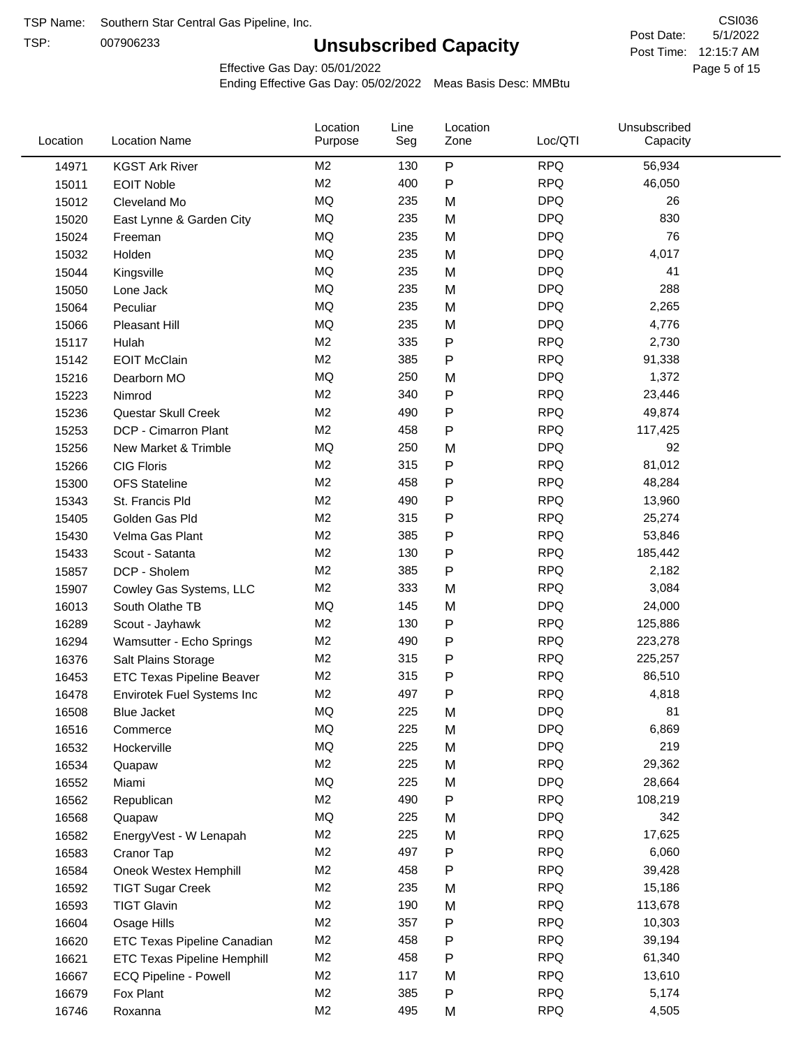TSP:

# **Unsubscribed Capacity**

5/1/2022 Page 5 of 15 Post Time: 12:15:7 AM CSI036 Post Date:

Effective Gas Day: 05/01/2022

| Location | <b>Location Name</b>               | Location<br>Purpose | Line<br>Seg | Location<br>Zone | Loc/QTI    | Unsubscribed<br>Capacity |  |
|----------|------------------------------------|---------------------|-------------|------------------|------------|--------------------------|--|
| 14971    | <b>KGST Ark River</b>              | M <sub>2</sub>      | 130         | $\mathsf{P}$     | <b>RPQ</b> | 56,934                   |  |
| 15011    | <b>EOIT Noble</b>                  | M <sub>2</sub>      | 400         | P                | <b>RPQ</b> | 46,050                   |  |
| 15012    | Cleveland Mo                       | <b>MQ</b>           | 235         | M                | <b>DPQ</b> | 26                       |  |
| 15020    | East Lynne & Garden City           | <b>MQ</b>           | 235         | M                | <b>DPQ</b> | 830                      |  |
| 15024    | Freeman                            | <b>MQ</b>           | 235         | M                | <b>DPQ</b> | 76                       |  |
| 15032    | Holden                             | <b>MQ</b>           | 235         | M                | <b>DPQ</b> | 4,017                    |  |
| 15044    | Kingsville                         | <b>MQ</b>           | 235         | M                | <b>DPQ</b> | 41                       |  |
| 15050    | Lone Jack                          | <b>MQ</b>           | 235         | M                | <b>DPQ</b> | 288                      |  |
| 15064    | Peculiar                           | <b>MQ</b>           | 235         | M                | <b>DPQ</b> | 2,265                    |  |
| 15066    | Pleasant Hill                      | MQ                  | 235         | M                | <b>DPQ</b> | 4,776                    |  |
| 15117    | Hulah                              | M <sub>2</sub>      | 335         | P                | <b>RPQ</b> | 2,730                    |  |
| 15142    | <b>EOIT McClain</b>                | M <sub>2</sub>      | 385         | P                | <b>RPQ</b> | 91,338                   |  |
| 15216    | Dearborn MO                        | <b>MQ</b>           | 250         | M                | <b>DPQ</b> | 1,372                    |  |
| 15223    | Nimrod                             | M <sub>2</sub>      | 340         | ${\sf P}$        | <b>RPQ</b> | 23,446                   |  |
| 15236    | Questar Skull Creek                | M <sub>2</sub>      | 490         | $\mathsf{P}$     | <b>RPQ</b> | 49,874                   |  |
| 15253    | DCP - Cimarron Plant               | M <sub>2</sub>      | 458         | $\mathsf{P}$     | <b>RPQ</b> | 117,425                  |  |
| 15256    | New Market & Trimble               | <b>MQ</b>           | 250         | M                | <b>DPQ</b> | 92                       |  |
| 15266    | <b>CIG Floris</b>                  | M <sub>2</sub>      | 315         | P                | <b>RPQ</b> | 81,012                   |  |
| 15300    | <b>OFS Stateline</b>               | M <sub>2</sub>      | 458         | P                | <b>RPQ</b> | 48,284                   |  |
| 15343    | St. Francis Pld                    | M <sub>2</sub>      | 490         | $\mathsf{P}$     | <b>RPQ</b> | 13,960                   |  |
| 15405    | Golden Gas Pld                     | M <sub>2</sub>      | 315         | P                | <b>RPQ</b> | 25,274                   |  |
| 15430    | Velma Gas Plant                    | M <sub>2</sub>      | 385         | P                | <b>RPQ</b> | 53,846                   |  |
| 15433    | Scout - Satanta                    | M <sub>2</sub>      | 130         | P                | <b>RPQ</b> | 185,442                  |  |
| 15857    | DCP - Sholem                       | M <sub>2</sub>      | 385         | P                | <b>RPQ</b> | 2,182                    |  |
| 15907    | Cowley Gas Systems, LLC            | M <sub>2</sub>      | 333         | M                | <b>RPQ</b> | 3,084                    |  |
| 16013    | South Olathe TB                    | MQ                  | 145         | M                | <b>DPQ</b> | 24,000                   |  |
| 16289    | Scout - Jayhawk                    | M <sub>2</sub>      | 130         | P                | <b>RPQ</b> | 125,886                  |  |
| 16294    | Wamsutter - Echo Springs           | M <sub>2</sub>      | 490         | $\mathsf{P}$     | <b>RPQ</b> | 223,278                  |  |
| 16376    | Salt Plains Storage                | M <sub>2</sub>      | 315         | $\mathsf{P}$     | <b>RPQ</b> | 225,257                  |  |
| 16453    | <b>ETC Texas Pipeline Beaver</b>   | M <sub>2</sub>      | 315         | P                | <b>RPQ</b> | 86,510                   |  |
| 16478    | Envirotek Fuel Systems Inc         | M <sub>2</sub>      | 497         | P                | <b>RPQ</b> | 4,818                    |  |
| 16508    | Blue Jacket                        | MQ                  | 225         | M                | <b>DPQ</b> | 81                       |  |
| 16516    | Commerce                           | MQ                  | 225         | M                | <b>DPQ</b> | 6,869                    |  |
| 16532    | Hockerville                        | MQ                  | 225         | M                | <b>DPQ</b> | 219                      |  |
| 16534    | Quapaw                             | M <sub>2</sub>      | 225         | M                | <b>RPQ</b> | 29,362                   |  |
| 16552    | Miami                              | MQ                  | 225         | M                | <b>DPQ</b> | 28,664                   |  |
| 16562    | Republican                         | M <sub>2</sub>      | 490         | P                | <b>RPQ</b> | 108,219                  |  |
| 16568    | Quapaw                             | MQ                  | 225         | M                | <b>DPQ</b> | 342                      |  |
| 16582    | EnergyVest - W Lenapah             | M <sub>2</sub>      | 225         | M                | <b>RPQ</b> | 17,625                   |  |
| 16583    | Cranor Tap                         | M <sub>2</sub>      | 497         | P                | <b>RPQ</b> | 6,060                    |  |
| 16584    | Oneok Westex Hemphill              | M <sub>2</sub>      | 458         | P                | <b>RPQ</b> | 39,428                   |  |
| 16592    | <b>TIGT Sugar Creek</b>            | M <sub>2</sub>      | 235         | M                | <b>RPQ</b> | 15,186                   |  |
| 16593    | <b>TIGT Glavin</b>                 | M <sub>2</sub>      | 190         | M                | <b>RPQ</b> | 113,678                  |  |
| 16604    | Osage Hills                        | M <sub>2</sub>      | 357         | P                | <b>RPQ</b> | 10,303                   |  |
| 16620    | <b>ETC Texas Pipeline Canadian</b> | M <sub>2</sub>      | 458         | P                | <b>RPQ</b> | 39,194                   |  |
| 16621    | <b>ETC Texas Pipeline Hemphill</b> | M <sub>2</sub>      | 458         | P                | <b>RPQ</b> | 61,340                   |  |
| 16667    | ECQ Pipeline - Powell              | M <sub>2</sub>      | 117         | M                | <b>RPQ</b> | 13,610                   |  |
| 16679    | Fox Plant                          | M <sub>2</sub>      | 385         | P                | <b>RPQ</b> | 5,174                    |  |
| 16746    | Roxanna                            | M <sub>2</sub>      | 495         | M                | <b>RPQ</b> | 4,505                    |  |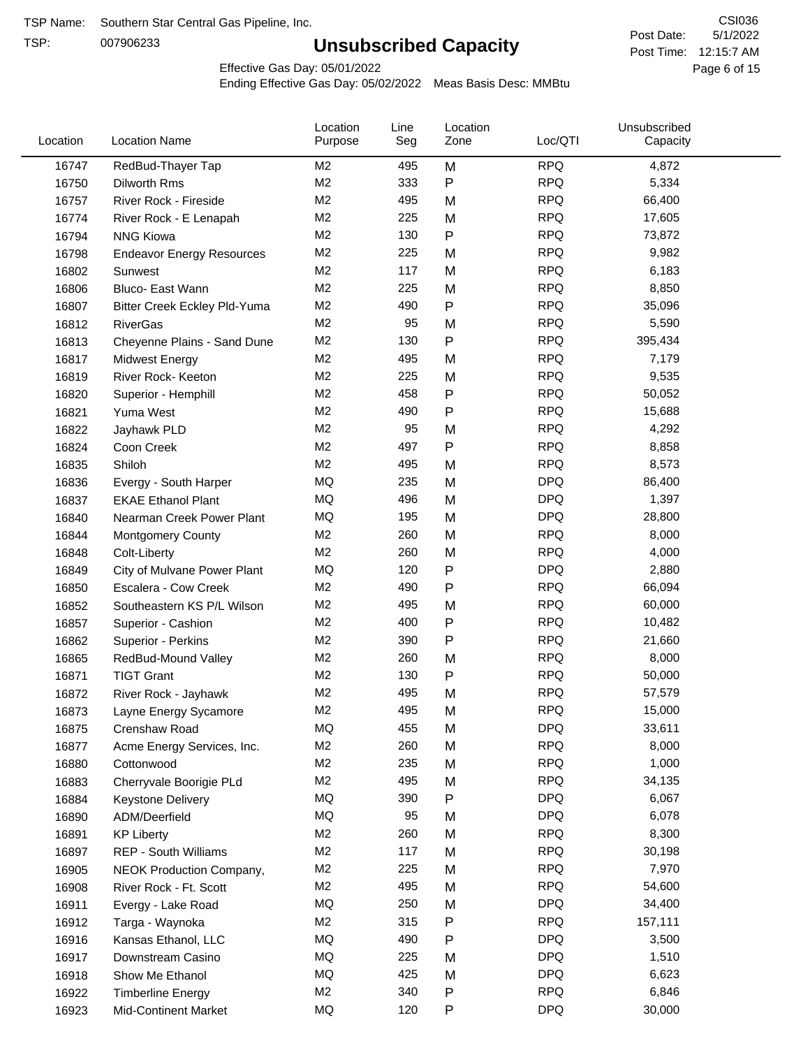TSP:

# **Unsubscribed Capacity**

5/1/2022 Page 6 of 15 Post Time: 12:15:7 AM CSI036 Post Date:

Effective Gas Day: 05/01/2022

| Location | <b>Location Name</b>             | Location<br>Purpose | Line<br>Seg | Location<br>Zone | Loc/QTI    | Unsubscribed<br>Capacity |  |
|----------|----------------------------------|---------------------|-------------|------------------|------------|--------------------------|--|
| 16747    | RedBud-Thayer Tap                | M <sub>2</sub>      | 495         | M                | <b>RPQ</b> | 4,872                    |  |
| 16750    | Dilworth Rms                     | M <sub>2</sub>      | 333         | P                | <b>RPQ</b> | 5,334                    |  |
| 16757    | River Rock - Fireside            | M <sub>2</sub>      | 495         | M                | <b>RPQ</b> | 66,400                   |  |
| 16774    | River Rock - E Lenapah           | M <sub>2</sub>      | 225         | M                | <b>RPQ</b> | 17,605                   |  |
| 16794    | <b>NNG Kiowa</b>                 | M <sub>2</sub>      | 130         | P                | <b>RPQ</b> | 73,872                   |  |
| 16798    | <b>Endeavor Energy Resources</b> | M <sub>2</sub>      | 225         | M                | <b>RPQ</b> | 9,982                    |  |
| 16802    | Sunwest                          | M <sub>2</sub>      | 117         | M                | <b>RPQ</b> | 6,183                    |  |
| 16806    | Bluco- East Wann                 | M <sub>2</sub>      | 225         | M                | <b>RPQ</b> | 8,850                    |  |
| 16807    | Bitter Creek Eckley Pld-Yuma     | M <sub>2</sub>      | 490         | P                | <b>RPQ</b> | 35,096                   |  |
| 16812    | <b>RiverGas</b>                  | M <sub>2</sub>      | 95          | M                | <b>RPQ</b> | 5,590                    |  |
| 16813    | Cheyenne Plains - Sand Dune      | M <sub>2</sub>      | 130         | P                | <b>RPQ</b> | 395,434                  |  |
| 16817    | <b>Midwest Energy</b>            | M <sub>2</sub>      | 495         | M                | <b>RPQ</b> | 7,179                    |  |
| 16819    | River Rock- Keeton               | M <sub>2</sub>      | 225         | M                | <b>RPQ</b> | 9,535                    |  |
| 16820    | Superior - Hemphill              | M <sub>2</sub>      | 458         | Ρ                | <b>RPQ</b> | 50,052                   |  |
| 16821    | Yuma West                        | M <sub>2</sub>      | 490         | P                | <b>RPQ</b> | 15,688                   |  |
| 16822    | Jayhawk PLD                      | M <sub>2</sub>      | 95          | M                | <b>RPQ</b> | 4,292                    |  |
| 16824    | Coon Creek                       | M <sub>2</sub>      | 497         | Ρ                | <b>RPQ</b> | 8,858                    |  |
| 16835    | Shiloh                           | M <sub>2</sub>      | 495         | M                | <b>RPQ</b> | 8,573                    |  |
| 16836    | Evergy - South Harper            | MQ                  | 235         | M                | <b>DPQ</b> | 86,400                   |  |
| 16837    | <b>EKAE Ethanol Plant</b>        | MQ                  | 496         | M                | <b>DPQ</b> | 1,397                    |  |
| 16840    | Nearman Creek Power Plant        | MQ                  | 195         | M                | <b>DPQ</b> | 28,800                   |  |
| 16844    | <b>Montgomery County</b>         | M <sub>2</sub>      | 260         | M                | <b>RPQ</b> | 8,000                    |  |
| 16848    | Colt-Liberty                     | M <sub>2</sub>      | 260         | M                | <b>RPQ</b> | 4,000                    |  |
| 16849    | City of Mulvane Power Plant      | MQ                  | 120         | P                | <b>DPQ</b> | 2,880                    |  |
| 16850    | Escalera - Cow Creek             | M <sub>2</sub>      | 490         | P                | <b>RPQ</b> | 66,094                   |  |
| 16852    | Southeastern KS P/L Wilson       | M <sub>2</sub>      | 495         | M                | <b>RPQ</b> | 60,000                   |  |
| 16857    | Superior - Cashion               | M <sub>2</sub>      | 400         | Ρ                | <b>RPQ</b> | 10,482                   |  |
| 16862    | Superior - Perkins               | M <sub>2</sub>      | 390         | Ρ                | <b>RPQ</b> | 21,660                   |  |
| 16865    | RedBud-Mound Valley              | M <sub>2</sub>      | 260         | M                | <b>RPQ</b> | 8,000                    |  |
| 16871    | <b>TIGT Grant</b>                | M <sub>2</sub>      | 130         | Ρ                | <b>RPQ</b> | 50,000                   |  |
| 16872    | River Rock - Jayhawk             | M <sub>2</sub>      | 495         | M                | <b>RPQ</b> | 57,579                   |  |
| 16873    | Layne Energy Sycamore            | M <sub>2</sub>      | 495         | M                | <b>RPQ</b> | 15,000                   |  |
| 16875    | Crenshaw Road                    | MQ                  | 455         | M                | <b>DPQ</b> | 33,611                   |  |
| 16877    | Acme Energy Services, Inc.       | M <sub>2</sub>      | 260         | M                | <b>RPQ</b> | 8,000                    |  |
| 16880    | Cottonwood                       | M <sub>2</sub>      | 235         | M                | <b>RPQ</b> | 1,000                    |  |
| 16883    | Cherryvale Boorigie PLd          | M <sub>2</sub>      | 495         | M                | <b>RPQ</b> | 34,135                   |  |
| 16884    | Keystone Delivery                | MQ                  | 390         | Ρ                | <b>DPQ</b> | 6,067                    |  |
| 16890    | ADM/Deerfield                    | <b>MQ</b>           | 95          | M                | <b>DPQ</b> | 6,078                    |  |
| 16891    | <b>KP Liberty</b>                | M <sub>2</sub>      | 260         | M                | <b>RPQ</b> | 8,300                    |  |
| 16897    | REP - South Williams             | M <sub>2</sub>      | 117         | M                | <b>RPQ</b> | 30,198                   |  |
| 16905    | NEOK Production Company,         | M <sub>2</sub>      | 225         | M                | <b>RPQ</b> | 7,970                    |  |
| 16908    | River Rock - Ft. Scott           | M <sub>2</sub>      | 495         | M                | <b>RPQ</b> | 54,600                   |  |
| 16911    | Evergy - Lake Road               | MQ                  | 250         | M                | <b>DPQ</b> | 34,400                   |  |
| 16912    | Targa - Waynoka                  | M <sub>2</sub>      | 315         | Ρ                | <b>RPQ</b> | 157,111                  |  |
| 16916    | Kansas Ethanol, LLC              | MQ                  | 490         | Ρ                | <b>DPQ</b> | 3,500                    |  |
| 16917    | Downstream Casino                | MQ                  | 225         | M                | <b>DPQ</b> | 1,510                    |  |
| 16918    | Show Me Ethanol                  | MQ                  | 425         | M                | <b>DPQ</b> | 6,623                    |  |
| 16922    | <b>Timberline Energy</b>         | M <sub>2</sub>      | 340         | Ρ                | <b>RPQ</b> | 6,846                    |  |
| 16923    | <b>Mid-Continent Market</b>      | MQ                  | 120         | P                | <b>DPQ</b> | 30,000                   |  |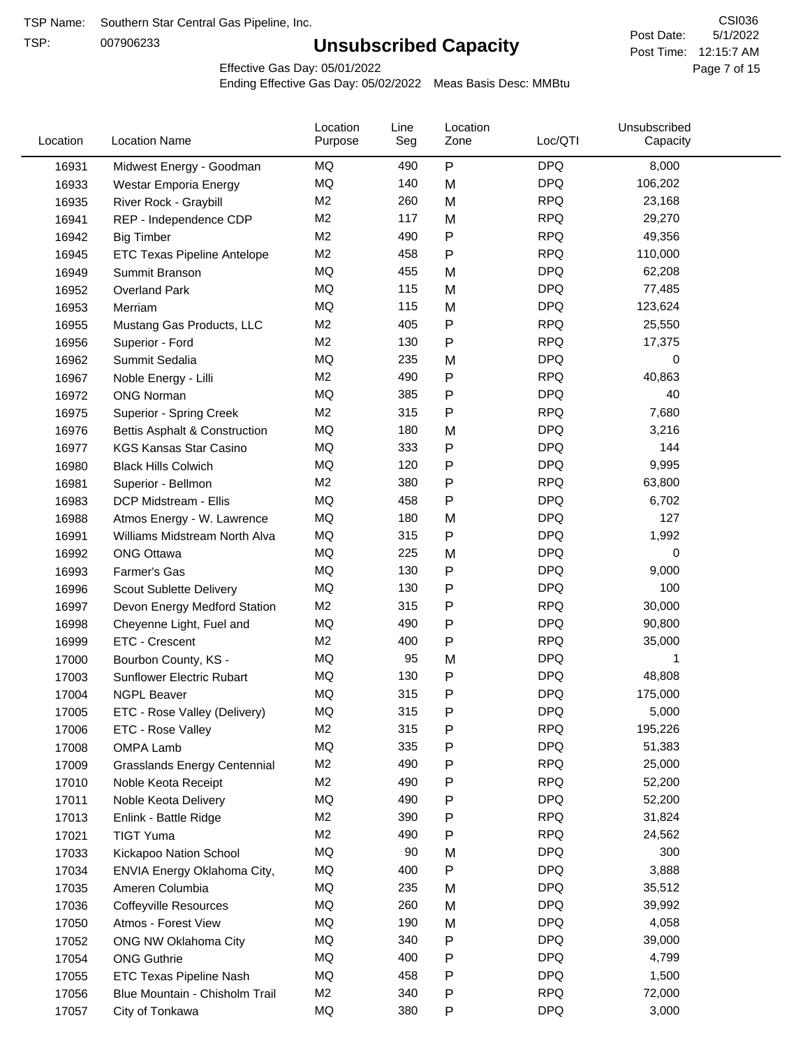TSP:

# **Unsubscribed Capacity**

5/1/2022 Page 7 of 15 Post Time: 12:15:7 AM CSI036 Post Date:

Effective Gas Day: 05/01/2022

| Location | <b>Location Name</b>                     | Location<br>Purpose | Line<br>Seg | Location<br>Zone | Loc/QTI    | Unsubscribed<br>Capacity |  |
|----------|------------------------------------------|---------------------|-------------|------------------|------------|--------------------------|--|
| 16931    | Midwest Energy - Goodman                 | MQ                  | 490         | P                | <b>DPQ</b> | 8,000                    |  |
| 16933    | Westar Emporia Energy                    | MQ                  | 140         | M                | <b>DPQ</b> | 106,202                  |  |
| 16935    | River Rock - Graybill                    | M <sub>2</sub>      | 260         | M                | <b>RPQ</b> | 23,168                   |  |
| 16941    | REP - Independence CDP                   | M <sub>2</sub>      | 117         | M                | <b>RPQ</b> | 29,270                   |  |
| 16942    | <b>Big Timber</b>                        | M <sub>2</sub>      | 490         | P                | <b>RPQ</b> | 49,356                   |  |
| 16945    | <b>ETC Texas Pipeline Antelope</b>       | M2                  | 458         | Ρ                | <b>RPQ</b> | 110,000                  |  |
| 16949    | Summit Branson                           | MQ                  | 455         | M                | <b>DPQ</b> | 62,208                   |  |
| 16952    | <b>Overland Park</b>                     | <b>MQ</b>           | 115         | M                | <b>DPQ</b> | 77,485                   |  |
| 16953    | Merriam                                  | MQ                  | 115         | M                | <b>DPQ</b> | 123,624                  |  |
| 16955    | Mustang Gas Products, LLC                | M <sub>2</sub>      | 405         | P                | <b>RPQ</b> | 25,550                   |  |
| 16956    | Superior - Ford                          | M2                  | 130         | Ρ                | <b>RPQ</b> | 17,375                   |  |
| 16962    | Summit Sedalia                           | MQ                  | 235         | M                | <b>DPQ</b> | 0                        |  |
| 16967    | Noble Energy - Lilli                     | M <sub>2</sub>      | 490         | Ρ                | <b>RPQ</b> | 40,863                   |  |
| 16972    | <b>ONG Norman</b>                        | MQ                  | 385         | Ρ                | <b>DPQ</b> | 40                       |  |
| 16975    | Superior - Spring Creek                  | M <sub>2</sub>      | 315         | Ρ                | <b>RPQ</b> | 7,680                    |  |
| 16976    | <b>Bettis Asphalt &amp; Construction</b> | MQ                  | 180         | M                | <b>DPQ</b> | 3,216                    |  |
| 16977    | <b>KGS Kansas Star Casino</b>            | MQ                  | 333         | P                | <b>DPQ</b> | 144                      |  |
| 16980    | <b>Black Hills Colwich</b>               | MQ                  | 120         | Ρ                | <b>DPQ</b> | 9,995                    |  |
| 16981    | Superior - Bellmon                       | M <sub>2</sub>      | 380         | P                | <b>RPQ</b> | 63,800                   |  |
| 16983    | DCP Midstream - Ellis                    | MQ                  | 458         | Ρ                | <b>DPQ</b> | 6,702                    |  |
| 16988    | Atmos Energy - W. Lawrence               | MQ                  | 180         | M                | <b>DPQ</b> | 127                      |  |
| 16991    | Williams Midstream North Alva            | <b>MQ</b>           | 315         | P                | <b>DPQ</b> | 1,992                    |  |
| 16992    | <b>ONG Ottawa</b>                        | MQ                  | 225         | M                | <b>DPQ</b> | 0                        |  |
| 16993    | Farmer's Gas                             | MQ                  | 130         | P                | <b>DPQ</b> | 9,000                    |  |
| 16996    | Scout Sublette Delivery                  | MQ                  | 130         | Ρ                | <b>DPQ</b> | 100                      |  |
| 16997    | Devon Energy Medford Station             | M <sub>2</sub>      | 315         | Ρ                | <b>RPQ</b> | 30,000                   |  |
| 16998    | Cheyenne Light, Fuel and                 | MQ                  | 490         | Ρ                | <b>DPQ</b> | 90,800                   |  |
| 16999    | ETC - Crescent                           | M2                  | 400         | P                | <b>RPQ</b> | 35,000                   |  |
| 17000    | Bourbon County, KS -                     | MQ                  | 95          | M                | <b>DPQ</b> | 1                        |  |
| 17003    | Sunflower Electric Rubart                | MQ                  | 130         | Ρ                | <b>DPQ</b> | 48,808                   |  |
| 17004    | <b>NGPL Beaver</b>                       | MQ                  | 315         | Ρ                | <b>DPQ</b> | 175,000                  |  |
| 17005    | ETC - Rose Valley (Delivery)             | MQ                  | 315         | Ρ                | <b>DPQ</b> | 5,000                    |  |
| 17006    | ETC - Rose Valley                        | M <sub>2</sub>      | 315         | Ρ                | <b>RPQ</b> | 195,226                  |  |
| 17008    | OMPA Lamb                                | MQ                  | 335         | Ρ                | <b>DPQ</b> | 51,383                   |  |
| 17009    | <b>Grasslands Energy Centennial</b>      | M <sub>2</sub>      | 490         | Ρ                | <b>RPQ</b> | 25,000                   |  |
| 17010    | Noble Keota Receipt                      | M2                  | 490         | Ρ                | <b>RPQ</b> | 52,200                   |  |
| 17011    | Noble Keota Delivery                     | MQ                  | 490         | Ρ                | <b>DPQ</b> | 52,200                   |  |
| 17013    | Enlink - Battle Ridge                    | M <sub>2</sub>      | 390         | Ρ                | <b>RPQ</b> | 31,824                   |  |
| 17021    | <b>TIGT Yuma</b>                         | M <sub>2</sub>      | 490         | Ρ                | <b>RPQ</b> | 24,562                   |  |
| 17033    | Kickapoo Nation School                   | MQ                  | 90          | M                | <b>DPQ</b> | 300                      |  |
| 17034    | ENVIA Energy Oklahoma City,              | MQ                  | 400         | P                | <b>DPQ</b> | 3,888                    |  |
| 17035    | Ameren Columbia                          | MQ                  | 235         | M                | <b>DPQ</b> | 35,512                   |  |
| 17036    | <b>Coffeyville Resources</b>             | MQ                  | 260         | M                | <b>DPQ</b> | 39,992                   |  |
| 17050    | Atmos - Forest View                      | MQ                  | 190         | M                | <b>DPQ</b> | 4,058                    |  |
| 17052    | ONG NW Oklahoma City                     | MQ                  | 340         | P                | <b>DPQ</b> | 39,000                   |  |
| 17054    | <b>ONG Guthrie</b>                       | MQ                  | 400         | Ρ                | <b>DPQ</b> | 4,799                    |  |
| 17055    | <b>ETC Texas Pipeline Nash</b>           | MQ                  | 458         | Ρ                | <b>DPQ</b> | 1,500                    |  |
| 17056    | Blue Mountain - Chisholm Trail           | M <sub>2</sub>      | 340         | Ρ                | <b>RPQ</b> | 72,000                   |  |
| 17057    | City of Tonkawa                          | MQ                  | 380         | P                | <b>DPQ</b> | 3,000                    |  |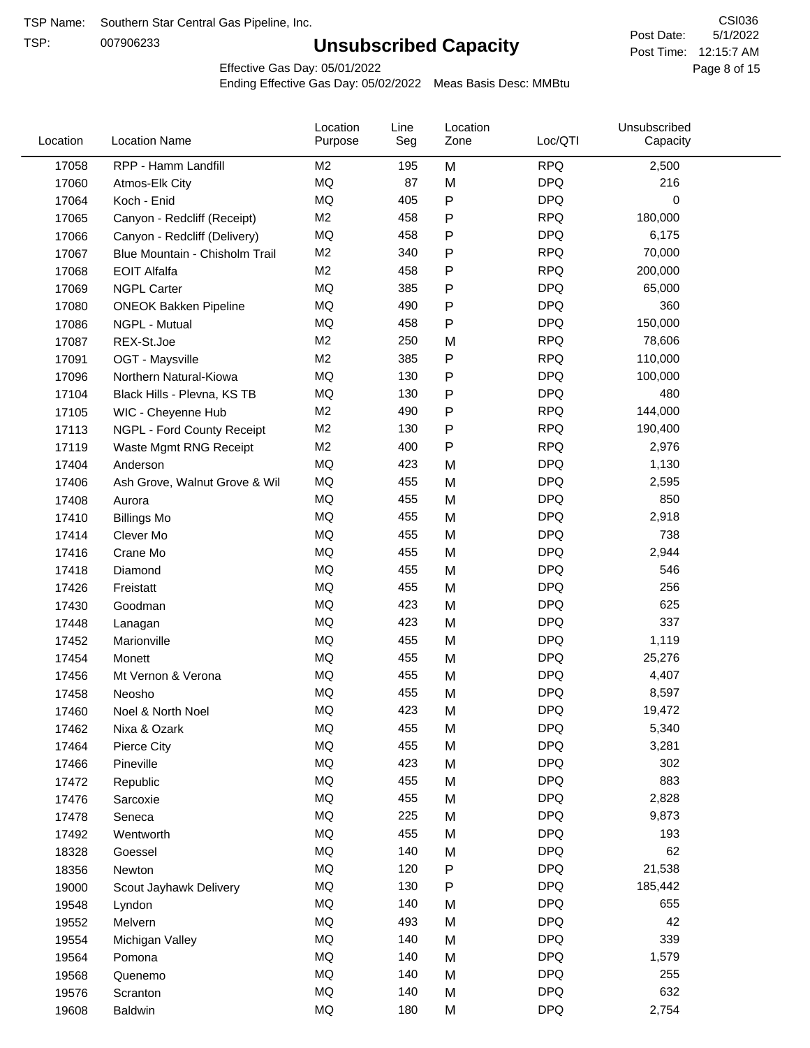TSP:

# **Unsubscribed Capacity**

5/1/2022 Page 8 of 15 Post Time: 12:15:7 AM CSI036 Post Date:

Effective Gas Day: 05/01/2022

| 17058<br>RPP - Hamm Landfill<br>M <sub>2</sub><br>195<br>M<br><b>RPQ</b><br>2,500<br>87<br>MQ<br><b>DPQ</b><br>216<br>M<br>17060<br>Atmos-Elk City<br>${\sf P}$<br>MQ<br>405<br><b>DPQ</b><br>0<br>17064<br>Koch - Enid<br>M <sub>2</sub><br>458<br>$\mathsf{P}$<br><b>RPQ</b><br>180,000<br>17065<br>Canyon - Redcliff (Receipt)<br>MQ<br><b>DPQ</b><br>458<br>$\mathsf{P}$<br>6,175<br>17066<br>Canyon - Redcliff (Delivery)<br>M <sub>2</sub><br><b>RPQ</b><br>340<br>$\mathsf{P}$<br>70,000<br>17067<br>Blue Mountain - Chisholm Trail<br>M <sub>2</sub><br><b>RPQ</b><br>458<br>$\mathsf{P}$<br>200,000<br>17068<br><b>EOIT Alfalfa</b><br><b>MQ</b><br><b>DPQ</b><br>385<br>$\mathsf{P}$<br>65,000<br><b>NGPL Carter</b><br>17069<br>MQ<br>490<br><b>DPQ</b><br>360<br>$\mathsf{P}$<br>17080<br><b>ONEOK Bakken Pipeline</b><br><b>MQ</b><br><b>DPQ</b><br>150,000<br>458<br>$\mathsf{P}$<br>17086<br>NGPL - Mutual<br>M <sub>2</sub><br><b>RPQ</b><br>78,606<br>250<br>17087<br>REX-St.Joe<br>M<br>${\sf P}$<br>M <sub>2</sub><br>385<br><b>RPQ</b><br>110,000<br>17091<br>OGT - Maysville<br><b>MQ</b><br><b>DPQ</b><br>130<br>$\mathsf{P}$<br>100,000<br>17096<br>Northern Natural-Kiowa<br><b>MQ</b><br><b>DPQ</b><br>130<br>$\mathsf{P}$<br>480<br>17104<br>Black Hills - Plevna, KS TB<br>M <sub>2</sub><br><b>RPQ</b><br>490<br>$\mathsf{P}$<br>144,000<br>17105<br>WIC - Cheyenne Hub<br>${\sf P}$<br><b>RPQ</b><br>M <sub>2</sub><br>130<br>190,400<br>17113<br>NGPL - Ford County Receipt<br><b>RPQ</b><br>M <sub>2</sub><br>400<br>$\mathsf{P}$<br>2,976<br>17119<br>Waste Mgmt RNG Receipt<br><b>DPQ</b><br>MQ<br>423<br>1,130<br>M<br>17404<br>Anderson<br><b>MQ</b><br><b>DPQ</b><br>455<br>2,595<br>M<br>17406<br>Ash Grove, Walnut Grove & Wil<br><b>MQ</b><br>455<br>M<br><b>DPQ</b><br>850<br>17408<br>Aurora<br><b>MQ</b><br>455<br><b>DPQ</b><br>M<br>2,918<br>17410<br><b>Billings Mo</b><br><b>MQ</b><br>738<br>455<br>M<br><b>DPQ</b><br>17414<br>Clever Mo<br><b>MQ</b><br><b>DPQ</b><br>455<br>2,944<br>M<br>17416<br>Crane Mo<br><b>MQ</b><br><b>DPQ</b><br>455<br>546<br>M<br>17418<br>Diamond<br><b>MQ</b><br><b>DPQ</b><br>455<br>M<br>256<br>17426<br>Freistatt<br>MQ<br><b>DPQ</b><br>423<br>625<br>M<br>17430<br>Goodman<br><b>MQ</b><br><b>DPQ</b><br>337<br>423<br>M<br>17448<br>Lanagan<br><b>MQ</b><br>455<br><b>DPQ</b><br>1,119<br>17452<br>Marionville<br>M<br><b>MQ</b><br><b>DPQ</b><br>455<br>M<br>25,276<br>17454<br>Monett<br>MQ<br>455<br><b>DPQ</b><br>M<br>4,407<br>17456<br>Mt Vernon & Verona<br><b>MQ</b><br><b>DPQ</b><br>455<br>M<br>8,597<br>17458<br>Neosho<br><b>DPQ</b><br>MQ<br>423<br>19,472<br>17460<br>M<br>Noel & North Noel<br>MQ<br><b>DPQ</b><br>455<br>M<br>5,340<br>17462<br>Nixa & Ozark<br>$\sf{MQ}$<br><b>DPQ</b><br>455<br>3,281<br>M<br>17464<br>Pierce City<br>$\sf{MQ}$<br>423<br>M<br><b>DPQ</b><br>302<br>17466<br>Pineville<br>MQ<br>883<br>455<br><b>DPQ</b><br>17472<br>Republic<br>M<br>MQ<br><b>DPQ</b><br>455<br>2,828<br>17476<br>M<br>Sarcoxie<br>MQ<br><b>DPQ</b><br>225<br>M<br>9,873<br>17478<br>Seneca<br>MQ<br><b>DPQ</b><br>455<br>193<br>17492<br>M<br>Wentworth<br>MQ<br><b>DPQ</b><br>62<br>140<br>18328<br>M<br>Goessel<br>21,538<br>MQ<br>120<br><b>DPQ</b><br>18356<br>P<br>Newton<br>MQ<br><b>DPQ</b><br>130<br>${\sf P}$<br>19000<br>185,442<br>Scout Jayhawk Delivery<br>MQ<br><b>DPQ</b><br>140<br>655<br>19548<br>M<br>Lyndon<br>MQ<br><b>DPQ</b><br>42<br>493<br>M<br>19552<br>Melvern<br>MQ<br><b>DPQ</b><br>140<br>339<br>19554<br>M<br>Michigan Valley<br>MQ<br>140<br><b>DPQ</b><br>1,579<br>M<br>19564<br>Pomona<br>MQ<br><b>DPQ</b><br>140<br>255<br>19568<br>M<br>Quenemo<br>MQ<br><b>DPQ</b><br>632<br>140<br>19576<br>M<br>Scranton<br>$\sf{MQ}$<br><b>DPQ</b><br>2,754<br>180<br>M<br>19608<br>Baldwin | Location | <b>Location Name</b> | Location<br>Purpose | Line<br>Seg | Location<br>Zone | Loc/QTI | Unsubscribed<br>Capacity |  |
|-----------------------------------------------------------------------------------------------------------------------------------------------------------------------------------------------------------------------------------------------------------------------------------------------------------------------------------------------------------------------------------------------------------------------------------------------------------------------------------------------------------------------------------------------------------------------------------------------------------------------------------------------------------------------------------------------------------------------------------------------------------------------------------------------------------------------------------------------------------------------------------------------------------------------------------------------------------------------------------------------------------------------------------------------------------------------------------------------------------------------------------------------------------------------------------------------------------------------------------------------------------------------------------------------------------------------------------------------------------------------------------------------------------------------------------------------------------------------------------------------------------------------------------------------------------------------------------------------------------------------------------------------------------------------------------------------------------------------------------------------------------------------------------------------------------------------------------------------------------------------------------------------------------------------------------------------------------------------------------------------------------------------------------------------------------------------------------------------------------------------------------------------------------------------------------------------------------------------------------------------------------------------------------------------------------------------------------------------------------------------------------------------------------------------------------------------------------------------------------------------------------------------------------------------------------------------------------------------------------------------------------------------------------------------------------------------------------------------------------------------------------------------------------------------------------------------------------------------------------------------------------------------------------------------------------------------------------------------------------------------------------------------------------------------------------------------------------------------------------------------------------------------------------------------------------------------------------------------------------------------------------------------------------------------------------------------------------------------------------------------------------------------------------------------------------------------------------------------------------------------------------------------------------------------------------------------------------------------------------------------------------------------------------------------------------------------------------------------------------------------------------------------------------------------------------------------------|----------|----------------------|---------------------|-------------|------------------|---------|--------------------------|--|
|                                                                                                                                                                                                                                                                                                                                                                                                                                                                                                                                                                                                                                                                                                                                                                                                                                                                                                                                                                                                                                                                                                                                                                                                                                                                                                                                                                                                                                                                                                                                                                                                                                                                                                                                                                                                                                                                                                                                                                                                                                                                                                                                                                                                                                                                                                                                                                                                                                                                                                                                                                                                                                                                                                                                                                                                                                                                                                                                                                                                                                                                                                                                                                                                                                                                                                                                                                                                                                                                                                                                                                                                                                                                                                                                                                                                                             |          |                      |                     |             |                  |         |                          |  |
|                                                                                                                                                                                                                                                                                                                                                                                                                                                                                                                                                                                                                                                                                                                                                                                                                                                                                                                                                                                                                                                                                                                                                                                                                                                                                                                                                                                                                                                                                                                                                                                                                                                                                                                                                                                                                                                                                                                                                                                                                                                                                                                                                                                                                                                                                                                                                                                                                                                                                                                                                                                                                                                                                                                                                                                                                                                                                                                                                                                                                                                                                                                                                                                                                                                                                                                                                                                                                                                                                                                                                                                                                                                                                                                                                                                                                             |          |                      |                     |             |                  |         |                          |  |
|                                                                                                                                                                                                                                                                                                                                                                                                                                                                                                                                                                                                                                                                                                                                                                                                                                                                                                                                                                                                                                                                                                                                                                                                                                                                                                                                                                                                                                                                                                                                                                                                                                                                                                                                                                                                                                                                                                                                                                                                                                                                                                                                                                                                                                                                                                                                                                                                                                                                                                                                                                                                                                                                                                                                                                                                                                                                                                                                                                                                                                                                                                                                                                                                                                                                                                                                                                                                                                                                                                                                                                                                                                                                                                                                                                                                                             |          |                      |                     |             |                  |         |                          |  |
|                                                                                                                                                                                                                                                                                                                                                                                                                                                                                                                                                                                                                                                                                                                                                                                                                                                                                                                                                                                                                                                                                                                                                                                                                                                                                                                                                                                                                                                                                                                                                                                                                                                                                                                                                                                                                                                                                                                                                                                                                                                                                                                                                                                                                                                                                                                                                                                                                                                                                                                                                                                                                                                                                                                                                                                                                                                                                                                                                                                                                                                                                                                                                                                                                                                                                                                                                                                                                                                                                                                                                                                                                                                                                                                                                                                                                             |          |                      |                     |             |                  |         |                          |  |
|                                                                                                                                                                                                                                                                                                                                                                                                                                                                                                                                                                                                                                                                                                                                                                                                                                                                                                                                                                                                                                                                                                                                                                                                                                                                                                                                                                                                                                                                                                                                                                                                                                                                                                                                                                                                                                                                                                                                                                                                                                                                                                                                                                                                                                                                                                                                                                                                                                                                                                                                                                                                                                                                                                                                                                                                                                                                                                                                                                                                                                                                                                                                                                                                                                                                                                                                                                                                                                                                                                                                                                                                                                                                                                                                                                                                                             |          |                      |                     |             |                  |         |                          |  |
|                                                                                                                                                                                                                                                                                                                                                                                                                                                                                                                                                                                                                                                                                                                                                                                                                                                                                                                                                                                                                                                                                                                                                                                                                                                                                                                                                                                                                                                                                                                                                                                                                                                                                                                                                                                                                                                                                                                                                                                                                                                                                                                                                                                                                                                                                                                                                                                                                                                                                                                                                                                                                                                                                                                                                                                                                                                                                                                                                                                                                                                                                                                                                                                                                                                                                                                                                                                                                                                                                                                                                                                                                                                                                                                                                                                                                             |          |                      |                     |             |                  |         |                          |  |
|                                                                                                                                                                                                                                                                                                                                                                                                                                                                                                                                                                                                                                                                                                                                                                                                                                                                                                                                                                                                                                                                                                                                                                                                                                                                                                                                                                                                                                                                                                                                                                                                                                                                                                                                                                                                                                                                                                                                                                                                                                                                                                                                                                                                                                                                                                                                                                                                                                                                                                                                                                                                                                                                                                                                                                                                                                                                                                                                                                                                                                                                                                                                                                                                                                                                                                                                                                                                                                                                                                                                                                                                                                                                                                                                                                                                                             |          |                      |                     |             |                  |         |                          |  |
|                                                                                                                                                                                                                                                                                                                                                                                                                                                                                                                                                                                                                                                                                                                                                                                                                                                                                                                                                                                                                                                                                                                                                                                                                                                                                                                                                                                                                                                                                                                                                                                                                                                                                                                                                                                                                                                                                                                                                                                                                                                                                                                                                                                                                                                                                                                                                                                                                                                                                                                                                                                                                                                                                                                                                                                                                                                                                                                                                                                                                                                                                                                                                                                                                                                                                                                                                                                                                                                                                                                                                                                                                                                                                                                                                                                                                             |          |                      |                     |             |                  |         |                          |  |
|                                                                                                                                                                                                                                                                                                                                                                                                                                                                                                                                                                                                                                                                                                                                                                                                                                                                                                                                                                                                                                                                                                                                                                                                                                                                                                                                                                                                                                                                                                                                                                                                                                                                                                                                                                                                                                                                                                                                                                                                                                                                                                                                                                                                                                                                                                                                                                                                                                                                                                                                                                                                                                                                                                                                                                                                                                                                                                                                                                                                                                                                                                                                                                                                                                                                                                                                                                                                                                                                                                                                                                                                                                                                                                                                                                                                                             |          |                      |                     |             |                  |         |                          |  |
|                                                                                                                                                                                                                                                                                                                                                                                                                                                                                                                                                                                                                                                                                                                                                                                                                                                                                                                                                                                                                                                                                                                                                                                                                                                                                                                                                                                                                                                                                                                                                                                                                                                                                                                                                                                                                                                                                                                                                                                                                                                                                                                                                                                                                                                                                                                                                                                                                                                                                                                                                                                                                                                                                                                                                                                                                                                                                                                                                                                                                                                                                                                                                                                                                                                                                                                                                                                                                                                                                                                                                                                                                                                                                                                                                                                                                             |          |                      |                     |             |                  |         |                          |  |
|                                                                                                                                                                                                                                                                                                                                                                                                                                                                                                                                                                                                                                                                                                                                                                                                                                                                                                                                                                                                                                                                                                                                                                                                                                                                                                                                                                                                                                                                                                                                                                                                                                                                                                                                                                                                                                                                                                                                                                                                                                                                                                                                                                                                                                                                                                                                                                                                                                                                                                                                                                                                                                                                                                                                                                                                                                                                                                                                                                                                                                                                                                                                                                                                                                                                                                                                                                                                                                                                                                                                                                                                                                                                                                                                                                                                                             |          |                      |                     |             |                  |         |                          |  |
|                                                                                                                                                                                                                                                                                                                                                                                                                                                                                                                                                                                                                                                                                                                                                                                                                                                                                                                                                                                                                                                                                                                                                                                                                                                                                                                                                                                                                                                                                                                                                                                                                                                                                                                                                                                                                                                                                                                                                                                                                                                                                                                                                                                                                                                                                                                                                                                                                                                                                                                                                                                                                                                                                                                                                                                                                                                                                                                                                                                                                                                                                                                                                                                                                                                                                                                                                                                                                                                                                                                                                                                                                                                                                                                                                                                                                             |          |                      |                     |             |                  |         |                          |  |
|                                                                                                                                                                                                                                                                                                                                                                                                                                                                                                                                                                                                                                                                                                                                                                                                                                                                                                                                                                                                                                                                                                                                                                                                                                                                                                                                                                                                                                                                                                                                                                                                                                                                                                                                                                                                                                                                                                                                                                                                                                                                                                                                                                                                                                                                                                                                                                                                                                                                                                                                                                                                                                                                                                                                                                                                                                                                                                                                                                                                                                                                                                                                                                                                                                                                                                                                                                                                                                                                                                                                                                                                                                                                                                                                                                                                                             |          |                      |                     |             |                  |         |                          |  |
|                                                                                                                                                                                                                                                                                                                                                                                                                                                                                                                                                                                                                                                                                                                                                                                                                                                                                                                                                                                                                                                                                                                                                                                                                                                                                                                                                                                                                                                                                                                                                                                                                                                                                                                                                                                                                                                                                                                                                                                                                                                                                                                                                                                                                                                                                                                                                                                                                                                                                                                                                                                                                                                                                                                                                                                                                                                                                                                                                                                                                                                                                                                                                                                                                                                                                                                                                                                                                                                                                                                                                                                                                                                                                                                                                                                                                             |          |                      |                     |             |                  |         |                          |  |
|                                                                                                                                                                                                                                                                                                                                                                                                                                                                                                                                                                                                                                                                                                                                                                                                                                                                                                                                                                                                                                                                                                                                                                                                                                                                                                                                                                                                                                                                                                                                                                                                                                                                                                                                                                                                                                                                                                                                                                                                                                                                                                                                                                                                                                                                                                                                                                                                                                                                                                                                                                                                                                                                                                                                                                                                                                                                                                                                                                                                                                                                                                                                                                                                                                                                                                                                                                                                                                                                                                                                                                                                                                                                                                                                                                                                                             |          |                      |                     |             |                  |         |                          |  |
|                                                                                                                                                                                                                                                                                                                                                                                                                                                                                                                                                                                                                                                                                                                                                                                                                                                                                                                                                                                                                                                                                                                                                                                                                                                                                                                                                                                                                                                                                                                                                                                                                                                                                                                                                                                                                                                                                                                                                                                                                                                                                                                                                                                                                                                                                                                                                                                                                                                                                                                                                                                                                                                                                                                                                                                                                                                                                                                                                                                                                                                                                                                                                                                                                                                                                                                                                                                                                                                                                                                                                                                                                                                                                                                                                                                                                             |          |                      |                     |             |                  |         |                          |  |
|                                                                                                                                                                                                                                                                                                                                                                                                                                                                                                                                                                                                                                                                                                                                                                                                                                                                                                                                                                                                                                                                                                                                                                                                                                                                                                                                                                                                                                                                                                                                                                                                                                                                                                                                                                                                                                                                                                                                                                                                                                                                                                                                                                                                                                                                                                                                                                                                                                                                                                                                                                                                                                                                                                                                                                                                                                                                                                                                                                                                                                                                                                                                                                                                                                                                                                                                                                                                                                                                                                                                                                                                                                                                                                                                                                                                                             |          |                      |                     |             |                  |         |                          |  |
|                                                                                                                                                                                                                                                                                                                                                                                                                                                                                                                                                                                                                                                                                                                                                                                                                                                                                                                                                                                                                                                                                                                                                                                                                                                                                                                                                                                                                                                                                                                                                                                                                                                                                                                                                                                                                                                                                                                                                                                                                                                                                                                                                                                                                                                                                                                                                                                                                                                                                                                                                                                                                                                                                                                                                                                                                                                                                                                                                                                                                                                                                                                                                                                                                                                                                                                                                                                                                                                                                                                                                                                                                                                                                                                                                                                                                             |          |                      |                     |             |                  |         |                          |  |
|                                                                                                                                                                                                                                                                                                                                                                                                                                                                                                                                                                                                                                                                                                                                                                                                                                                                                                                                                                                                                                                                                                                                                                                                                                                                                                                                                                                                                                                                                                                                                                                                                                                                                                                                                                                                                                                                                                                                                                                                                                                                                                                                                                                                                                                                                                                                                                                                                                                                                                                                                                                                                                                                                                                                                                                                                                                                                                                                                                                                                                                                                                                                                                                                                                                                                                                                                                                                                                                                                                                                                                                                                                                                                                                                                                                                                             |          |                      |                     |             |                  |         |                          |  |
|                                                                                                                                                                                                                                                                                                                                                                                                                                                                                                                                                                                                                                                                                                                                                                                                                                                                                                                                                                                                                                                                                                                                                                                                                                                                                                                                                                                                                                                                                                                                                                                                                                                                                                                                                                                                                                                                                                                                                                                                                                                                                                                                                                                                                                                                                                                                                                                                                                                                                                                                                                                                                                                                                                                                                                                                                                                                                                                                                                                                                                                                                                                                                                                                                                                                                                                                                                                                                                                                                                                                                                                                                                                                                                                                                                                                                             |          |                      |                     |             |                  |         |                          |  |
|                                                                                                                                                                                                                                                                                                                                                                                                                                                                                                                                                                                                                                                                                                                                                                                                                                                                                                                                                                                                                                                                                                                                                                                                                                                                                                                                                                                                                                                                                                                                                                                                                                                                                                                                                                                                                                                                                                                                                                                                                                                                                                                                                                                                                                                                                                                                                                                                                                                                                                                                                                                                                                                                                                                                                                                                                                                                                                                                                                                                                                                                                                                                                                                                                                                                                                                                                                                                                                                                                                                                                                                                                                                                                                                                                                                                                             |          |                      |                     |             |                  |         |                          |  |
|                                                                                                                                                                                                                                                                                                                                                                                                                                                                                                                                                                                                                                                                                                                                                                                                                                                                                                                                                                                                                                                                                                                                                                                                                                                                                                                                                                                                                                                                                                                                                                                                                                                                                                                                                                                                                                                                                                                                                                                                                                                                                                                                                                                                                                                                                                                                                                                                                                                                                                                                                                                                                                                                                                                                                                                                                                                                                                                                                                                                                                                                                                                                                                                                                                                                                                                                                                                                                                                                                                                                                                                                                                                                                                                                                                                                                             |          |                      |                     |             |                  |         |                          |  |
|                                                                                                                                                                                                                                                                                                                                                                                                                                                                                                                                                                                                                                                                                                                                                                                                                                                                                                                                                                                                                                                                                                                                                                                                                                                                                                                                                                                                                                                                                                                                                                                                                                                                                                                                                                                                                                                                                                                                                                                                                                                                                                                                                                                                                                                                                                                                                                                                                                                                                                                                                                                                                                                                                                                                                                                                                                                                                                                                                                                                                                                                                                                                                                                                                                                                                                                                                                                                                                                                                                                                                                                                                                                                                                                                                                                                                             |          |                      |                     |             |                  |         |                          |  |
|                                                                                                                                                                                                                                                                                                                                                                                                                                                                                                                                                                                                                                                                                                                                                                                                                                                                                                                                                                                                                                                                                                                                                                                                                                                                                                                                                                                                                                                                                                                                                                                                                                                                                                                                                                                                                                                                                                                                                                                                                                                                                                                                                                                                                                                                                                                                                                                                                                                                                                                                                                                                                                                                                                                                                                                                                                                                                                                                                                                                                                                                                                                                                                                                                                                                                                                                                                                                                                                                                                                                                                                                                                                                                                                                                                                                                             |          |                      |                     |             |                  |         |                          |  |
|                                                                                                                                                                                                                                                                                                                                                                                                                                                                                                                                                                                                                                                                                                                                                                                                                                                                                                                                                                                                                                                                                                                                                                                                                                                                                                                                                                                                                                                                                                                                                                                                                                                                                                                                                                                                                                                                                                                                                                                                                                                                                                                                                                                                                                                                                                                                                                                                                                                                                                                                                                                                                                                                                                                                                                                                                                                                                                                                                                                                                                                                                                                                                                                                                                                                                                                                                                                                                                                                                                                                                                                                                                                                                                                                                                                                                             |          |                      |                     |             |                  |         |                          |  |
|                                                                                                                                                                                                                                                                                                                                                                                                                                                                                                                                                                                                                                                                                                                                                                                                                                                                                                                                                                                                                                                                                                                                                                                                                                                                                                                                                                                                                                                                                                                                                                                                                                                                                                                                                                                                                                                                                                                                                                                                                                                                                                                                                                                                                                                                                                                                                                                                                                                                                                                                                                                                                                                                                                                                                                                                                                                                                                                                                                                                                                                                                                                                                                                                                                                                                                                                                                                                                                                                                                                                                                                                                                                                                                                                                                                                                             |          |                      |                     |             |                  |         |                          |  |
|                                                                                                                                                                                                                                                                                                                                                                                                                                                                                                                                                                                                                                                                                                                                                                                                                                                                                                                                                                                                                                                                                                                                                                                                                                                                                                                                                                                                                                                                                                                                                                                                                                                                                                                                                                                                                                                                                                                                                                                                                                                                                                                                                                                                                                                                                                                                                                                                                                                                                                                                                                                                                                                                                                                                                                                                                                                                                                                                                                                                                                                                                                                                                                                                                                                                                                                                                                                                                                                                                                                                                                                                                                                                                                                                                                                                                             |          |                      |                     |             |                  |         |                          |  |
|                                                                                                                                                                                                                                                                                                                                                                                                                                                                                                                                                                                                                                                                                                                                                                                                                                                                                                                                                                                                                                                                                                                                                                                                                                                                                                                                                                                                                                                                                                                                                                                                                                                                                                                                                                                                                                                                                                                                                                                                                                                                                                                                                                                                                                                                                                                                                                                                                                                                                                                                                                                                                                                                                                                                                                                                                                                                                                                                                                                                                                                                                                                                                                                                                                                                                                                                                                                                                                                                                                                                                                                                                                                                                                                                                                                                                             |          |                      |                     |             |                  |         |                          |  |
|                                                                                                                                                                                                                                                                                                                                                                                                                                                                                                                                                                                                                                                                                                                                                                                                                                                                                                                                                                                                                                                                                                                                                                                                                                                                                                                                                                                                                                                                                                                                                                                                                                                                                                                                                                                                                                                                                                                                                                                                                                                                                                                                                                                                                                                                                                                                                                                                                                                                                                                                                                                                                                                                                                                                                                                                                                                                                                                                                                                                                                                                                                                                                                                                                                                                                                                                                                                                                                                                                                                                                                                                                                                                                                                                                                                                                             |          |                      |                     |             |                  |         |                          |  |
|                                                                                                                                                                                                                                                                                                                                                                                                                                                                                                                                                                                                                                                                                                                                                                                                                                                                                                                                                                                                                                                                                                                                                                                                                                                                                                                                                                                                                                                                                                                                                                                                                                                                                                                                                                                                                                                                                                                                                                                                                                                                                                                                                                                                                                                                                                                                                                                                                                                                                                                                                                                                                                                                                                                                                                                                                                                                                                                                                                                                                                                                                                                                                                                                                                                                                                                                                                                                                                                                                                                                                                                                                                                                                                                                                                                                                             |          |                      |                     |             |                  |         |                          |  |
|                                                                                                                                                                                                                                                                                                                                                                                                                                                                                                                                                                                                                                                                                                                                                                                                                                                                                                                                                                                                                                                                                                                                                                                                                                                                                                                                                                                                                                                                                                                                                                                                                                                                                                                                                                                                                                                                                                                                                                                                                                                                                                                                                                                                                                                                                                                                                                                                                                                                                                                                                                                                                                                                                                                                                                                                                                                                                                                                                                                                                                                                                                                                                                                                                                                                                                                                                                                                                                                                                                                                                                                                                                                                                                                                                                                                                             |          |                      |                     |             |                  |         |                          |  |
|                                                                                                                                                                                                                                                                                                                                                                                                                                                                                                                                                                                                                                                                                                                                                                                                                                                                                                                                                                                                                                                                                                                                                                                                                                                                                                                                                                                                                                                                                                                                                                                                                                                                                                                                                                                                                                                                                                                                                                                                                                                                                                                                                                                                                                                                                                                                                                                                                                                                                                                                                                                                                                                                                                                                                                                                                                                                                                                                                                                                                                                                                                                                                                                                                                                                                                                                                                                                                                                                                                                                                                                                                                                                                                                                                                                                                             |          |                      |                     |             |                  |         |                          |  |
|                                                                                                                                                                                                                                                                                                                                                                                                                                                                                                                                                                                                                                                                                                                                                                                                                                                                                                                                                                                                                                                                                                                                                                                                                                                                                                                                                                                                                                                                                                                                                                                                                                                                                                                                                                                                                                                                                                                                                                                                                                                                                                                                                                                                                                                                                                                                                                                                                                                                                                                                                                                                                                                                                                                                                                                                                                                                                                                                                                                                                                                                                                                                                                                                                                                                                                                                                                                                                                                                                                                                                                                                                                                                                                                                                                                                                             |          |                      |                     |             |                  |         |                          |  |
|                                                                                                                                                                                                                                                                                                                                                                                                                                                                                                                                                                                                                                                                                                                                                                                                                                                                                                                                                                                                                                                                                                                                                                                                                                                                                                                                                                                                                                                                                                                                                                                                                                                                                                                                                                                                                                                                                                                                                                                                                                                                                                                                                                                                                                                                                                                                                                                                                                                                                                                                                                                                                                                                                                                                                                                                                                                                                                                                                                                                                                                                                                                                                                                                                                                                                                                                                                                                                                                                                                                                                                                                                                                                                                                                                                                                                             |          |                      |                     |             |                  |         |                          |  |
|                                                                                                                                                                                                                                                                                                                                                                                                                                                                                                                                                                                                                                                                                                                                                                                                                                                                                                                                                                                                                                                                                                                                                                                                                                                                                                                                                                                                                                                                                                                                                                                                                                                                                                                                                                                                                                                                                                                                                                                                                                                                                                                                                                                                                                                                                                                                                                                                                                                                                                                                                                                                                                                                                                                                                                                                                                                                                                                                                                                                                                                                                                                                                                                                                                                                                                                                                                                                                                                                                                                                                                                                                                                                                                                                                                                                                             |          |                      |                     |             |                  |         |                          |  |
|                                                                                                                                                                                                                                                                                                                                                                                                                                                                                                                                                                                                                                                                                                                                                                                                                                                                                                                                                                                                                                                                                                                                                                                                                                                                                                                                                                                                                                                                                                                                                                                                                                                                                                                                                                                                                                                                                                                                                                                                                                                                                                                                                                                                                                                                                                                                                                                                                                                                                                                                                                                                                                                                                                                                                                                                                                                                                                                                                                                                                                                                                                                                                                                                                                                                                                                                                                                                                                                                                                                                                                                                                                                                                                                                                                                                                             |          |                      |                     |             |                  |         |                          |  |
|                                                                                                                                                                                                                                                                                                                                                                                                                                                                                                                                                                                                                                                                                                                                                                                                                                                                                                                                                                                                                                                                                                                                                                                                                                                                                                                                                                                                                                                                                                                                                                                                                                                                                                                                                                                                                                                                                                                                                                                                                                                                                                                                                                                                                                                                                                                                                                                                                                                                                                                                                                                                                                                                                                                                                                                                                                                                                                                                                                                                                                                                                                                                                                                                                                                                                                                                                                                                                                                                                                                                                                                                                                                                                                                                                                                                                             |          |                      |                     |             |                  |         |                          |  |
|                                                                                                                                                                                                                                                                                                                                                                                                                                                                                                                                                                                                                                                                                                                                                                                                                                                                                                                                                                                                                                                                                                                                                                                                                                                                                                                                                                                                                                                                                                                                                                                                                                                                                                                                                                                                                                                                                                                                                                                                                                                                                                                                                                                                                                                                                                                                                                                                                                                                                                                                                                                                                                                                                                                                                                                                                                                                                                                                                                                                                                                                                                                                                                                                                                                                                                                                                                                                                                                                                                                                                                                                                                                                                                                                                                                                                             |          |                      |                     |             |                  |         |                          |  |
|                                                                                                                                                                                                                                                                                                                                                                                                                                                                                                                                                                                                                                                                                                                                                                                                                                                                                                                                                                                                                                                                                                                                                                                                                                                                                                                                                                                                                                                                                                                                                                                                                                                                                                                                                                                                                                                                                                                                                                                                                                                                                                                                                                                                                                                                                                                                                                                                                                                                                                                                                                                                                                                                                                                                                                                                                                                                                                                                                                                                                                                                                                                                                                                                                                                                                                                                                                                                                                                                                                                                                                                                                                                                                                                                                                                                                             |          |                      |                     |             |                  |         |                          |  |
|                                                                                                                                                                                                                                                                                                                                                                                                                                                                                                                                                                                                                                                                                                                                                                                                                                                                                                                                                                                                                                                                                                                                                                                                                                                                                                                                                                                                                                                                                                                                                                                                                                                                                                                                                                                                                                                                                                                                                                                                                                                                                                                                                                                                                                                                                                                                                                                                                                                                                                                                                                                                                                                                                                                                                                                                                                                                                                                                                                                                                                                                                                                                                                                                                                                                                                                                                                                                                                                                                                                                                                                                                                                                                                                                                                                                                             |          |                      |                     |             |                  |         |                          |  |
|                                                                                                                                                                                                                                                                                                                                                                                                                                                                                                                                                                                                                                                                                                                                                                                                                                                                                                                                                                                                                                                                                                                                                                                                                                                                                                                                                                                                                                                                                                                                                                                                                                                                                                                                                                                                                                                                                                                                                                                                                                                                                                                                                                                                                                                                                                                                                                                                                                                                                                                                                                                                                                                                                                                                                                                                                                                                                                                                                                                                                                                                                                                                                                                                                                                                                                                                                                                                                                                                                                                                                                                                                                                                                                                                                                                                                             |          |                      |                     |             |                  |         |                          |  |
|                                                                                                                                                                                                                                                                                                                                                                                                                                                                                                                                                                                                                                                                                                                                                                                                                                                                                                                                                                                                                                                                                                                                                                                                                                                                                                                                                                                                                                                                                                                                                                                                                                                                                                                                                                                                                                                                                                                                                                                                                                                                                                                                                                                                                                                                                                                                                                                                                                                                                                                                                                                                                                                                                                                                                                                                                                                                                                                                                                                                                                                                                                                                                                                                                                                                                                                                                                                                                                                                                                                                                                                                                                                                                                                                                                                                                             |          |                      |                     |             |                  |         |                          |  |
|                                                                                                                                                                                                                                                                                                                                                                                                                                                                                                                                                                                                                                                                                                                                                                                                                                                                                                                                                                                                                                                                                                                                                                                                                                                                                                                                                                                                                                                                                                                                                                                                                                                                                                                                                                                                                                                                                                                                                                                                                                                                                                                                                                                                                                                                                                                                                                                                                                                                                                                                                                                                                                                                                                                                                                                                                                                                                                                                                                                                                                                                                                                                                                                                                                                                                                                                                                                                                                                                                                                                                                                                                                                                                                                                                                                                                             |          |                      |                     |             |                  |         |                          |  |
|                                                                                                                                                                                                                                                                                                                                                                                                                                                                                                                                                                                                                                                                                                                                                                                                                                                                                                                                                                                                                                                                                                                                                                                                                                                                                                                                                                                                                                                                                                                                                                                                                                                                                                                                                                                                                                                                                                                                                                                                                                                                                                                                                                                                                                                                                                                                                                                                                                                                                                                                                                                                                                                                                                                                                                                                                                                                                                                                                                                                                                                                                                                                                                                                                                                                                                                                                                                                                                                                                                                                                                                                                                                                                                                                                                                                                             |          |                      |                     |             |                  |         |                          |  |
|                                                                                                                                                                                                                                                                                                                                                                                                                                                                                                                                                                                                                                                                                                                                                                                                                                                                                                                                                                                                                                                                                                                                                                                                                                                                                                                                                                                                                                                                                                                                                                                                                                                                                                                                                                                                                                                                                                                                                                                                                                                                                                                                                                                                                                                                                                                                                                                                                                                                                                                                                                                                                                                                                                                                                                                                                                                                                                                                                                                                                                                                                                                                                                                                                                                                                                                                                                                                                                                                                                                                                                                                                                                                                                                                                                                                                             |          |                      |                     |             |                  |         |                          |  |
|                                                                                                                                                                                                                                                                                                                                                                                                                                                                                                                                                                                                                                                                                                                                                                                                                                                                                                                                                                                                                                                                                                                                                                                                                                                                                                                                                                                                                                                                                                                                                                                                                                                                                                                                                                                                                                                                                                                                                                                                                                                                                                                                                                                                                                                                                                                                                                                                                                                                                                                                                                                                                                                                                                                                                                                                                                                                                                                                                                                                                                                                                                                                                                                                                                                                                                                                                                                                                                                                                                                                                                                                                                                                                                                                                                                                                             |          |                      |                     |             |                  |         |                          |  |
|                                                                                                                                                                                                                                                                                                                                                                                                                                                                                                                                                                                                                                                                                                                                                                                                                                                                                                                                                                                                                                                                                                                                                                                                                                                                                                                                                                                                                                                                                                                                                                                                                                                                                                                                                                                                                                                                                                                                                                                                                                                                                                                                                                                                                                                                                                                                                                                                                                                                                                                                                                                                                                                                                                                                                                                                                                                                                                                                                                                                                                                                                                                                                                                                                                                                                                                                                                                                                                                                                                                                                                                                                                                                                                                                                                                                                             |          |                      |                     |             |                  |         |                          |  |
|                                                                                                                                                                                                                                                                                                                                                                                                                                                                                                                                                                                                                                                                                                                                                                                                                                                                                                                                                                                                                                                                                                                                                                                                                                                                                                                                                                                                                                                                                                                                                                                                                                                                                                                                                                                                                                                                                                                                                                                                                                                                                                                                                                                                                                                                                                                                                                                                                                                                                                                                                                                                                                                                                                                                                                                                                                                                                                                                                                                                                                                                                                                                                                                                                                                                                                                                                                                                                                                                                                                                                                                                                                                                                                                                                                                                                             |          |                      |                     |             |                  |         |                          |  |
|                                                                                                                                                                                                                                                                                                                                                                                                                                                                                                                                                                                                                                                                                                                                                                                                                                                                                                                                                                                                                                                                                                                                                                                                                                                                                                                                                                                                                                                                                                                                                                                                                                                                                                                                                                                                                                                                                                                                                                                                                                                                                                                                                                                                                                                                                                                                                                                                                                                                                                                                                                                                                                                                                                                                                                                                                                                                                                                                                                                                                                                                                                                                                                                                                                                                                                                                                                                                                                                                                                                                                                                                                                                                                                                                                                                                                             |          |                      |                     |             |                  |         |                          |  |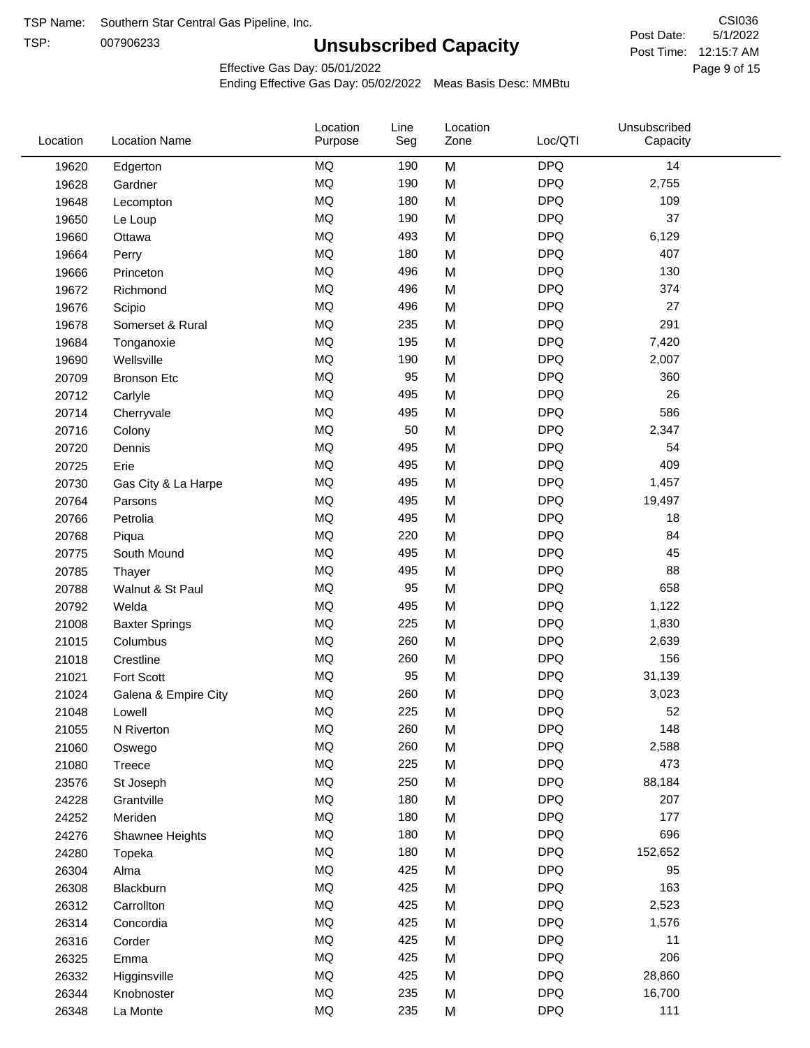TSP:

# **Unsubscribed Capacity**

5/1/2022 Page 9 of 15 Post Time: 12:15:7 AM CSI036 Post Date:

Effective Gas Day: 05/01/2022

| Location | <b>Location Name</b>  | Location<br>Purpose | Line<br>Seg | Location<br>Zone | Loc/QTI    | Unsubscribed<br>Capacity |  |
|----------|-----------------------|---------------------|-------------|------------------|------------|--------------------------|--|
| 19620    | Edgerton              | <b>MQ</b>           | 190         | M                | <b>DPQ</b> | 14                       |  |
| 19628    | Gardner               | MQ                  | 190         | M                | <b>DPQ</b> | 2,755                    |  |
| 19648    | Lecompton             | <b>MQ</b>           | 180         | M                | <b>DPQ</b> | 109                      |  |
| 19650    | Le Loup               | <b>MQ</b>           | 190         | M                | <b>DPQ</b> | 37                       |  |
| 19660    | Ottawa                | <b>MQ</b>           | 493         | M                | <b>DPQ</b> | 6,129                    |  |
| 19664    | Perry                 | <b>MQ</b>           | 180         | M                | <b>DPQ</b> | 407                      |  |
| 19666    | Princeton             | <b>MQ</b>           | 496         | M                | <b>DPQ</b> | 130                      |  |
| 19672    | Richmond              | <b>MQ</b>           | 496         | M                | <b>DPQ</b> | 374                      |  |
| 19676    | Scipio                | <b>MQ</b>           | 496         | M                | <b>DPQ</b> | 27                       |  |
| 19678    | Somerset & Rural      | MQ                  | 235         | M                | <b>DPQ</b> | 291                      |  |
| 19684    | Tonganoxie            | MQ                  | 195         | M                | <b>DPQ</b> | 7,420                    |  |
| 19690    | Wellsville            | MQ                  | 190         | M                | <b>DPQ</b> | 2,007                    |  |
| 20709    | <b>Bronson Etc</b>    | MQ                  | 95          | M                | <b>DPQ</b> | 360                      |  |
| 20712    | Carlyle               | <b>MQ</b>           | 495         | M                | <b>DPQ</b> | 26                       |  |
| 20714    | Cherryvale            | <b>MQ</b>           | 495         | M                | <b>DPQ</b> | 586                      |  |
| 20716    | Colony                | MQ                  | 50          | M                | <b>DPQ</b> | 2,347                    |  |
| 20720    | Dennis                | MQ                  | 495         | M                | <b>DPQ</b> | 54                       |  |
| 20725    | Erie                  | <b>MQ</b>           | 495         | M                | <b>DPQ</b> | 409                      |  |
| 20730    | Gas City & La Harpe   | <b>MQ</b>           | 495         | M                | <b>DPQ</b> | 1,457                    |  |
| 20764    | Parsons               | <b>MQ</b>           | 495         | M                | <b>DPQ</b> | 19,497                   |  |
| 20766    | Petrolia              | MQ                  | 495         | M                | <b>DPQ</b> | 18                       |  |
| 20768    | Piqua                 | MQ                  | 220         | M                | <b>DPQ</b> | 84                       |  |
| 20775    | South Mound           | <b>MQ</b>           | 495         | M                | <b>DPQ</b> | 45                       |  |
| 20785    | Thayer                | <b>MQ</b>           | 495         | M                | <b>DPQ</b> | 88                       |  |
| 20788    | Walnut & St Paul      | MQ                  | 95          | M                | <b>DPQ</b> | 658                      |  |
| 20792    | Welda                 | <b>MQ</b>           | 495         | M                | <b>DPQ</b> | 1,122                    |  |
| 21008    | <b>Baxter Springs</b> | <b>MQ</b>           | 225         | M                | <b>DPQ</b> | 1,830                    |  |
| 21015    | Columbus              | MQ                  | 260         | M                | <b>DPQ</b> | 2,639                    |  |
| 21018    | Crestline             | MQ                  | 260         | M                | <b>DPQ</b> | 156                      |  |
| 21021    | Fort Scott            | MQ                  | 95          | M                | <b>DPQ</b> | 31,139                   |  |
| 21024    | Galena & Empire City  | MQ                  | 260         | M                | <b>DPQ</b> | 3,023                    |  |
| 21048    | Lowell                | <b>MQ</b>           | 225         | M                | <b>DPQ</b> | 52                       |  |
| 21055    | N Riverton            | MQ                  | 260         | M                | <b>DPQ</b> | 148                      |  |
| 21060    | Oswego                | $\sf{MQ}$           | 260         | M                | <b>DPQ</b> | 2,588                    |  |
| 21080    | Treece                | MQ                  | 225         | M                | <b>DPQ</b> | 473                      |  |
| 23576    | St Joseph             | MQ                  | 250         | M                | <b>DPQ</b> | 88,184                   |  |
| 24228    | Grantville            | MQ                  | 180         | M                | <b>DPQ</b> | 207                      |  |
| 24252    | Meriden               | MQ                  | 180         | M                | <b>DPQ</b> | 177                      |  |
| 24276    | Shawnee Heights       | $\sf{MQ}$           | 180         | M                | <b>DPQ</b> | 696                      |  |
| 24280    | Topeka                | $\sf{MQ}$           | 180         | M                | <b>DPQ</b> | 152,652                  |  |
| 26304    | Alma                  | MQ                  | 425         | M                | <b>DPQ</b> | 95                       |  |
| 26308    | Blackburn             | MQ                  | 425         | M                | <b>DPQ</b> | 163                      |  |
| 26312    | Carrollton            | MQ                  | 425         | M                | <b>DPQ</b> | 2,523                    |  |
| 26314    | Concordia             | $\sf{MQ}$           | 425         | M                | <b>DPQ</b> | 1,576                    |  |
| 26316    | Corder                | $\sf{MQ}$           | 425         | M                | <b>DPQ</b> | 11                       |  |
| 26325    | Emma                  | MQ                  | 425         | M                | <b>DPQ</b> | 206                      |  |
| 26332    | Higginsville          | MQ                  | 425         | M                | <b>DPQ</b> | 28,860                   |  |
| 26344    | Knobnoster            | $\sf{MQ}$           | 235         | M                | <b>DPQ</b> | 16,700                   |  |
| 26348    | La Monte              | $\sf{MQ}$           | 235         | M                | <b>DPQ</b> | 111                      |  |
|          |                       |                     |             |                  |            |                          |  |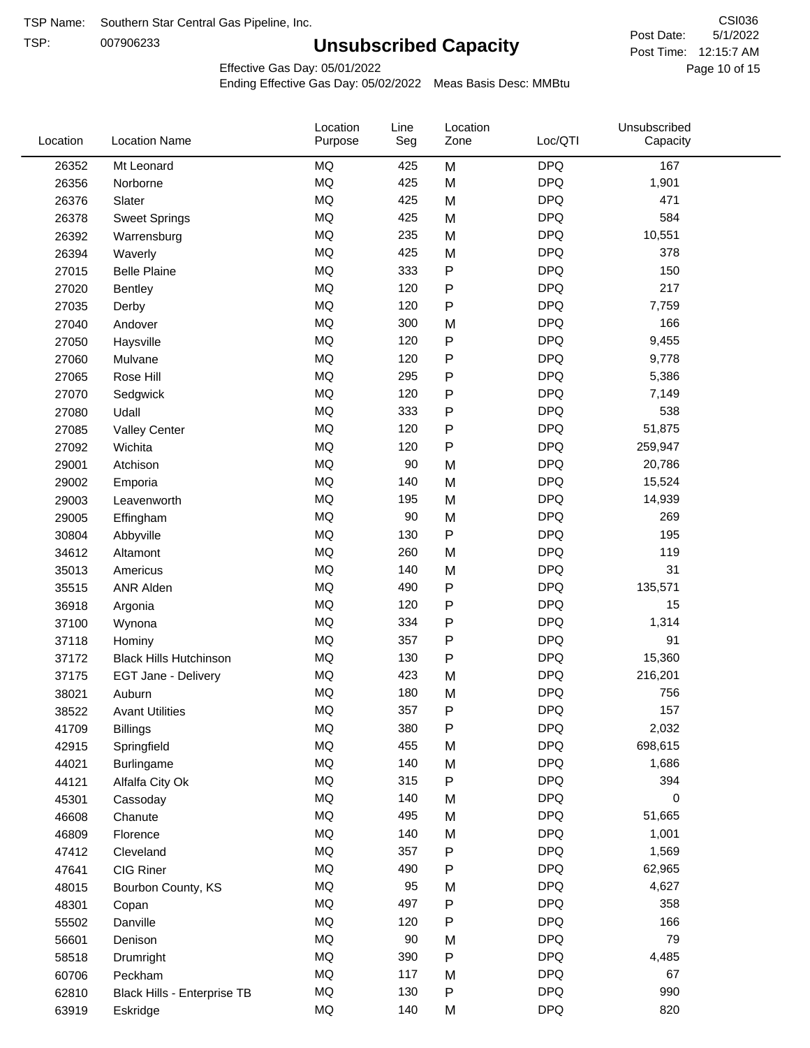TSP:

# **Unsubscribed Capacity**

5/1/2022 Page 10 of 15 Post Time: 12:15:7 AM CSI036 Post Date:

Effective Gas Day: 05/01/2022

| Location | <b>Location Name</b>          | Location<br>Purpose | Line<br>Seg | Location<br>Zone | Loc/QTI    | Unsubscribed<br>Capacity |  |
|----------|-------------------------------|---------------------|-------------|------------------|------------|--------------------------|--|
| 26352    | Mt Leonard                    | <b>MQ</b>           | 425         | M                | <b>DPQ</b> | 167                      |  |
| 26356    | Norborne                      | MQ                  | 425         | M                | <b>DPQ</b> | 1,901                    |  |
| 26376    | Slater                        | MQ                  | 425         | M                | <b>DPQ</b> | 471                      |  |
| 26378    | <b>Sweet Springs</b>          | MQ                  | 425         | M                | <b>DPQ</b> | 584                      |  |
| 26392    | Warrensburg                   | MQ                  | 235         | M                | <b>DPQ</b> | 10,551                   |  |
| 26394    | Waverly                       | <b>MQ</b>           | 425         | M                | <b>DPQ</b> | 378                      |  |
| 27015    | <b>Belle Plaine</b>           | <b>MQ</b>           | 333         | ${\sf P}$        | <b>DPQ</b> | 150                      |  |
| 27020    | Bentley                       | MQ                  | 120         | ${\sf P}$        | <b>DPQ</b> | 217                      |  |
| 27035    | Derby                         | <b>MQ</b>           | 120         | P                | <b>DPQ</b> | 7,759                    |  |
| 27040    | Andover                       | <b>MQ</b>           | 300         | M                | <b>DPQ</b> | 166                      |  |
| 27050    | Haysville                     | MQ                  | 120         | ${\sf P}$        | <b>DPQ</b> | 9,455                    |  |
| 27060    | Mulvane                       | MQ                  | 120         | ${\sf P}$        | <b>DPQ</b> | 9,778                    |  |
| 27065    | Rose Hill                     | MQ                  | 295         | P                | <b>DPQ</b> | 5,386                    |  |
| 27070    | Sedgwick                      | <b>MQ</b>           | 120         | P                | <b>DPQ</b> | 7,149                    |  |
| 27080    | Udall                         | <b>MQ</b>           | 333         | ${\sf P}$        | <b>DPQ</b> | 538                      |  |
| 27085    | <b>Valley Center</b>          | <b>MQ</b>           | 120         | P                | <b>DPQ</b> | 51,875                   |  |
| 27092    | Wichita                       | MQ                  | 120         | P                | <b>DPQ</b> | 259,947                  |  |
| 29001    | Atchison                      | <b>MQ</b>           | 90          | M                | <b>DPQ</b> | 20,786                   |  |
| 29002    | Emporia                       | MQ                  | 140         | M                | <b>DPQ</b> | 15,524                   |  |
| 29003    | Leavenworth                   | MQ                  | 195         | M                | <b>DPQ</b> | 14,939                   |  |
| 29005    | Effingham                     | MQ                  | 90          | M                | <b>DPQ</b> | 269                      |  |
| 30804    | Abbyville                     | <b>MQ</b>           | 130         | ${\sf P}$        | <b>DPQ</b> | 195                      |  |
| 34612    | Altamont                      | <b>MQ</b>           | 260         | M                | <b>DPQ</b> | 119                      |  |
| 35013    | Americus                      | <b>MQ</b>           | 140         | M                | <b>DPQ</b> | 31                       |  |
| 35515    | <b>ANR Alden</b>              | <b>MQ</b>           | 490         | ${\sf P}$        | <b>DPQ</b> | 135,571                  |  |
| 36918    | Argonia                       | MQ                  | 120         | ${\sf P}$        | <b>DPQ</b> | 15                       |  |
| 37100    | Wynona                        | MQ                  | 334         | P                | <b>DPQ</b> | 1,314                    |  |
| 37118    | Hominy                        | <b>MQ</b>           | 357         | P                | <b>DPQ</b> | 91                       |  |
| 37172    | <b>Black Hills Hutchinson</b> | <b>MQ</b>           | 130         | ${\sf P}$        | <b>DPQ</b> | 15,360                   |  |
| 37175    | EGT Jane - Delivery           | MQ                  | 423         | M                | <b>DPQ</b> | 216,201                  |  |
| 38021    | Auburn                        | <b>MQ</b>           | 180         | M                | <b>DPQ</b> | 756                      |  |
| 38522    | <b>Avant Utilities</b>        | MQ                  | 357         | P                | <b>DPQ</b> | 157                      |  |
| 41709    | <b>Billings</b>               | MQ                  | 380         | P                | <b>DPQ</b> | 2,032                    |  |
| 42915    | Springfield                   | $\sf{MQ}$           | 455         | M                | <b>DPQ</b> | 698,615                  |  |
| 44021    | Burlingame                    | $\sf{MQ}$           | 140         | M                | <b>DPQ</b> | 1,686                    |  |
| 44121    | Alfalfa City Ok               | $\sf{MQ}$           | 315         | ${\sf P}$        | <b>DPQ</b> | 394                      |  |
| 45301    | Cassoday                      | MQ                  | 140         | M                | <b>DPQ</b> | 0                        |  |
| 46608    | Chanute                       | MQ                  | 495         | M                | <b>DPQ</b> | 51,665                   |  |
| 46809    | Florence                      | MQ                  | 140         | M                | <b>DPQ</b> | 1,001                    |  |
| 47412    | Cleveland                     | MQ                  | 357         | P                | <b>DPQ</b> | 1,569                    |  |
| 47641    | CIG Riner                     | $\sf{MQ}$           | 490         | P                | <b>DPQ</b> | 62,965                   |  |
| 48015    | Bourbon County, KS            | MQ                  | 95          | M                | <b>DPQ</b> | 4,627                    |  |
| 48301    | Copan                         | MQ                  | 497         | ${\sf P}$        | <b>DPQ</b> | 358                      |  |
| 55502    | Danville                      | MQ                  | 120         | ${\sf P}$        | <b>DPQ</b> | 166                      |  |
| 56601    | Denison                       | $\sf{MQ}$           | 90          | M                | <b>DPQ</b> | 79                       |  |
| 58518    | Drumright                     | MQ                  | 390         | P                | <b>DPQ</b> | 4,485                    |  |
| 60706    | Peckham                       | MQ                  | 117         | M                | <b>DPQ</b> | 67                       |  |
| 62810    | Black Hills - Enterprise TB   | MQ                  | 130         | P                | <b>DPQ</b> | 990                      |  |
| 63919    | Eskridge                      | $\sf{MQ}$           | 140         | M                | <b>DPQ</b> | 820                      |  |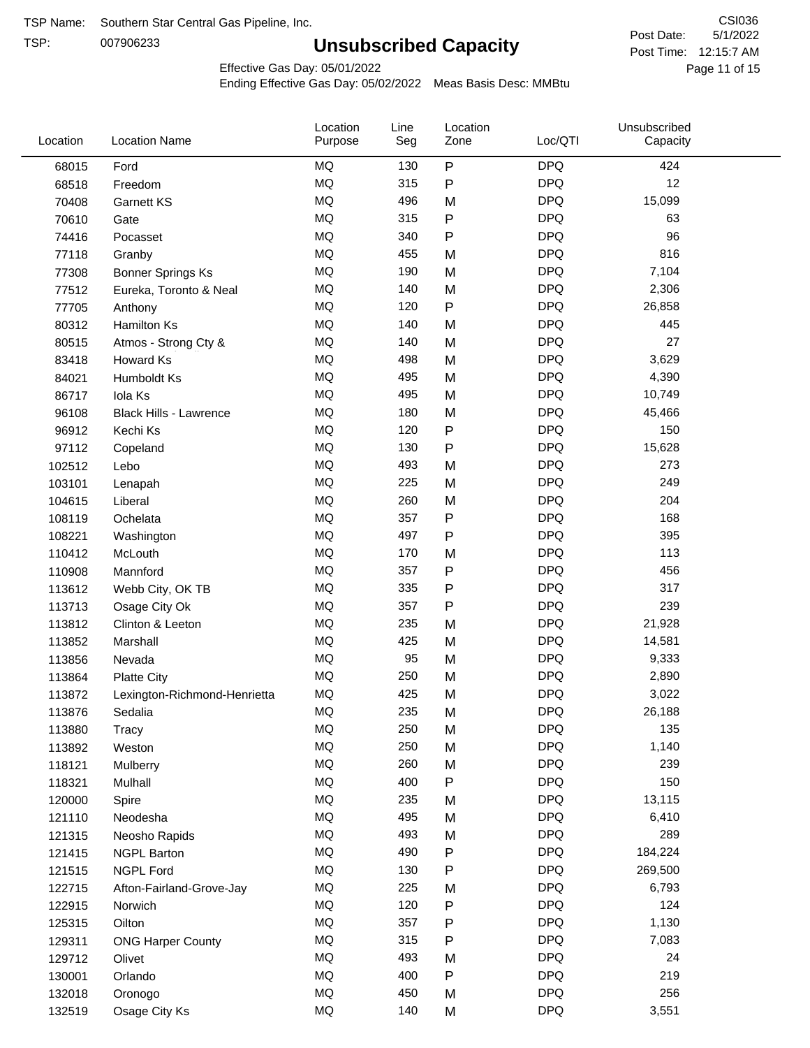TSP:

# **Unsubscribed Capacity**

5/1/2022 Page 11 of 15 Post Time: 12:15:7 AM CSI036 Post Date:

Effective Gas Day: 05/01/2022

| Location | <b>Location Name</b>          | Location<br>Purpose | Line<br>Seg | Location<br>Zone | Loc/QTI    | Unsubscribed<br>Capacity |  |
|----------|-------------------------------|---------------------|-------------|------------------|------------|--------------------------|--|
| 68015    | Ford                          | <b>MQ</b>           | 130         | $\sf P$          | <b>DPQ</b> | 424                      |  |
| 68518    | Freedom                       | MQ                  | 315         | ${\sf P}$        | <b>DPQ</b> | 12                       |  |
| 70408    | Garnett KS                    | <b>MQ</b>           | 496         | M                | <b>DPQ</b> | 15,099                   |  |
| 70610    | Gate                          | <b>MQ</b>           | 315         | ${\sf P}$        | <b>DPQ</b> | 63                       |  |
| 74416    | Pocasset                      | <b>MQ</b>           | 340         | $\mathsf{P}$     | <b>DPQ</b> | 96                       |  |
| 77118    | Granby                        | <b>MQ</b>           | 455         | M                | <b>DPQ</b> | 816                      |  |
| 77308    | <b>Bonner Springs Ks</b>      | MQ                  | 190         | M                | <b>DPQ</b> | 7,104                    |  |
| 77512    | Eureka, Toronto & Neal        | <b>MQ</b>           | 140         | M                | <b>DPQ</b> | 2,306                    |  |
| 77705    | Anthony                       | MQ                  | 120         | ${\sf P}$        | <b>DPQ</b> | 26,858                   |  |
| 80312    | Hamilton Ks                   | <b>MQ</b>           | 140         | M                | <b>DPQ</b> | 445                      |  |
| 80515    | Atmos - Strong Cty &          | <b>MQ</b>           | 140         | M                | <b>DPQ</b> | 27                       |  |
| 83418    | Howard Ks                     | <b>MQ</b>           | 498         | M                | <b>DPQ</b> | 3,629                    |  |
| 84021    | Humboldt Ks                   | <b>MQ</b>           | 495         | M                | <b>DPQ</b> | 4,390                    |  |
| 86717    | Iola Ks                       | <b>MQ</b>           | 495         | M                | <b>DPQ</b> | 10,749                   |  |
| 96108    | <b>Black Hills - Lawrence</b> | <b>MQ</b>           | 180         | M                | <b>DPQ</b> | 45,466                   |  |
| 96912    | Kechi Ks                      | <b>MQ</b>           | 120         | ${\sf P}$        | <b>DPQ</b> | 150                      |  |
| 97112    | Copeland                      | MQ                  | 130         | $\mathsf{P}$     | <b>DPQ</b> | 15,628                   |  |
| 102512   | Lebo                          | MQ                  | 493         | M                | <b>DPQ</b> | 273                      |  |
| 103101   | Lenapah                       | <b>MQ</b>           | 225         | M                | <b>DPQ</b> | 249                      |  |
| 104615   | Liberal                       | <b>MQ</b>           | 260         | M                | <b>DPQ</b> | 204                      |  |
| 108119   | Ochelata                      | <b>MQ</b>           | 357         | ${\sf P}$        | <b>DPQ</b> | 168                      |  |
| 108221   | Washington                    | <b>MQ</b>           | 497         | $\mathsf{P}$     | <b>DPQ</b> | 395                      |  |
| 110412   | McLouth                       | <b>MQ</b>           | 170         | M                | <b>DPQ</b> | 113                      |  |
| 110908   | Mannford                      | <b>MQ</b>           | 357         | ${\sf P}$        | <b>DPQ</b> | 456                      |  |
| 113612   | Webb City, OK TB              | MQ                  | 335         | $\mathsf{P}$     | <b>DPQ</b> | 317                      |  |
| 113713   | Osage City Ok                 | MQ                  | 357         | $\mathsf{P}$     | <b>DPQ</b> | 239                      |  |
| 113812   | Clinton & Leeton              | MQ                  | 235         | M                | <b>DPQ</b> | 21,928                   |  |
| 113852   | Marshall                      | <b>MQ</b>           | 425         | M                | <b>DPQ</b> | 14,581                   |  |
| 113856   | Nevada                        | <b>MQ</b>           | 95          | M                | <b>DPQ</b> | 9,333                    |  |
| 113864   | <b>Platte City</b>            | <b>MQ</b>           | 250         | M                | <b>DPQ</b> | 2,890                    |  |
| 113872   | Lexington-Richmond-Henrietta  | <b>MQ</b>           | 425         | M                | <b>DPQ</b> | 3,022                    |  |
| 113876   | Sedalia                       | <b>MQ</b>           | 235         | M                | <b>DPQ</b> | 26,188                   |  |
| 113880   | Tracy                         | MQ                  | 250         | M                | <b>DPQ</b> | 135                      |  |
| 113892   | Weston                        | MQ                  | 250         | M                | <b>DPQ</b> | 1,140                    |  |
| 118121   | Mulberry                      | <b>MQ</b>           | 260         | M                | <b>DPQ</b> | 239                      |  |
| 118321   | Mulhall                       | MQ                  | 400         | ${\sf P}$        | <b>DPQ</b> | 150                      |  |
| 120000   | Spire                         | MQ                  | 235         | M                | <b>DPQ</b> | 13,115                   |  |
| 121110   | Neodesha                      | MQ                  | 495         | M                | <b>DPQ</b> | 6,410                    |  |
| 121315   | Neosho Rapids                 | $\sf{MQ}$           | 493         | M                | <b>DPQ</b> | 289                      |  |
| 121415   | <b>NGPL Barton</b>            | MQ                  | 490         | $\mathsf{P}$     | <b>DPQ</b> | 184,224                  |  |
| 121515   | <b>NGPL Ford</b>              | MQ                  | 130         | P                | <b>DPQ</b> | 269,500                  |  |
| 122715   | Afton-Fairland-Grove-Jay      | MQ                  | 225         | M                | <b>DPQ</b> | 6,793                    |  |
| 122915   | Norwich                       | MQ                  | 120         | $\mathsf{P}$     | <b>DPQ</b> | 124                      |  |
| 125315   | Oilton                        | <b>MQ</b>           | 357         | ${\sf P}$        | <b>DPQ</b> | 1,130                    |  |
| 129311   | <b>ONG Harper County</b>      | MQ                  | 315         | $\mathsf{P}$     | <b>DPQ</b> | 7,083                    |  |
| 129712   | Olivet                        | MQ                  | 493         | M                | <b>DPQ</b> | 24                       |  |
| 130001   | Orlando                       | MQ                  | 400         | ${\sf P}$        | <b>DPQ</b> | 219                      |  |
| 132018   | Oronogo                       | $\sf{MQ}$           | 450         | M                | <b>DPQ</b> | 256                      |  |
| 132519   | Osage City Ks                 | $\sf{MQ}$           | 140         | M                | <b>DPQ</b> | 3,551                    |  |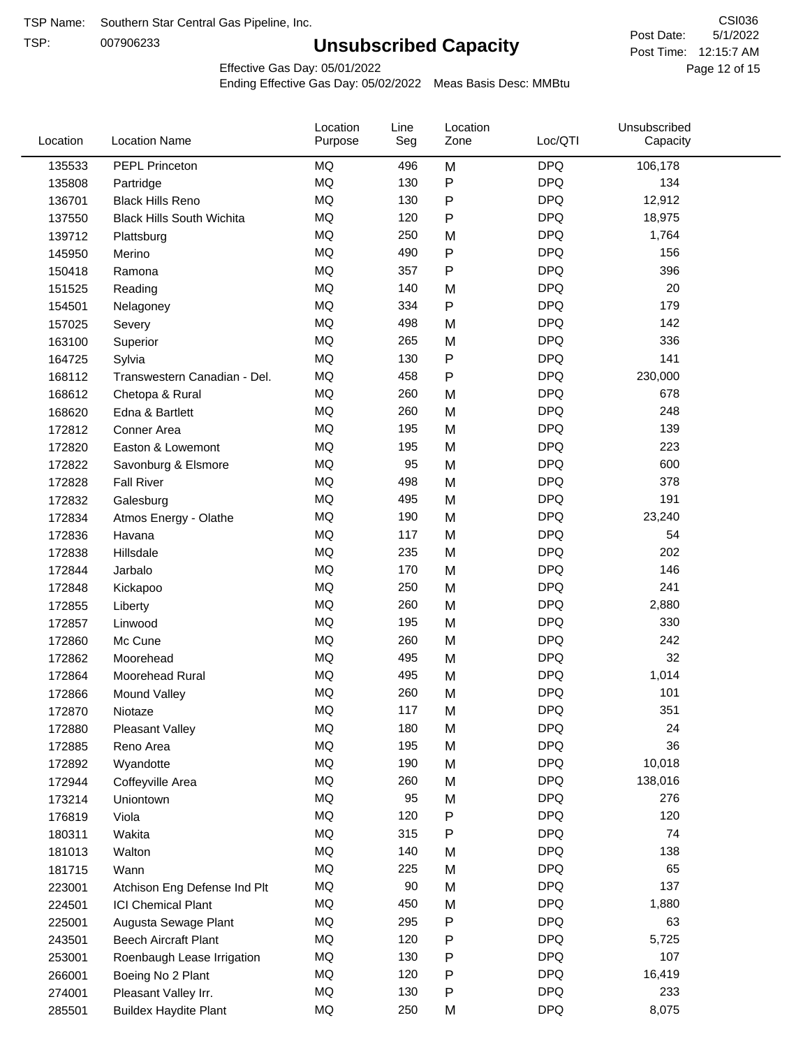TSP:

# **Unsubscribed Capacity**

5/1/2022 Page 12 of 15 Post Time: 12:15:7 AM CSI036 Post Date:

Effective Gas Day: 05/01/2022

| Location | <b>Location Name</b>             | Location<br>Purpose | Line<br>Seg | Location<br>Zone | Loc/QTI    | Unsubscribed<br>Capacity |  |
|----------|----------------------------------|---------------------|-------------|------------------|------------|--------------------------|--|
| 135533   | PEPL Princeton                   | MQ                  | 496         | M                | <b>DPQ</b> | 106,178                  |  |
| 135808   | Partridge                        | MQ                  | 130         | P                | <b>DPQ</b> | 134                      |  |
| 136701   | <b>Black Hills Reno</b>          | MQ                  | 130         | P                | <b>DPQ</b> | 12,912                   |  |
| 137550   | <b>Black Hills South Wichita</b> | <b>MQ</b>           | 120         | P                | <b>DPQ</b> | 18,975                   |  |
| 139712   | Plattsburg                       | MQ                  | 250         | M                | <b>DPQ</b> | 1,764                    |  |
| 145950   | Merino                           | MQ                  | 490         | P                | <b>DPQ</b> | 156                      |  |
| 150418   | Ramona                           | MQ                  | 357         | Ρ                | <b>DPQ</b> | 396                      |  |
| 151525   | Reading                          | MQ                  | 140         | M                | <b>DPQ</b> | 20                       |  |
| 154501   | Nelagoney                        | MQ                  | 334         | P                | <b>DPQ</b> | 179                      |  |
| 157025   | Severy                           | MQ                  | 498         | M                | <b>DPQ</b> | 142                      |  |
| 163100   | Superior                         | MQ                  | 265         | M                | <b>DPQ</b> | 336                      |  |
| 164725   | Sylvia                           | MQ                  | 130         | P                | <b>DPQ</b> | 141                      |  |
| 168112   | Transwestern Canadian - Del.     | MQ                  | 458         | P                | <b>DPQ</b> | 230,000                  |  |
| 168612   | Chetopa & Rural                  | MQ                  | 260         | M                | <b>DPQ</b> | 678                      |  |
| 168620   | Edna & Bartlett                  | MQ                  | 260         | M                | <b>DPQ</b> | 248                      |  |
| 172812   | Conner Area                      | MQ                  | 195         | M                | <b>DPQ</b> | 139                      |  |
| 172820   | Easton & Lowemont                | MQ                  | 195         | M                | <b>DPQ</b> | 223                      |  |
| 172822   | Savonburg & Elsmore              | MQ                  | 95          | M                | <b>DPQ</b> | 600                      |  |
| 172828   | <b>Fall River</b>                | MQ                  | 498         | M                | <b>DPQ</b> | 378                      |  |
| 172832   | Galesburg                        | MQ                  | 495         | M                | <b>DPQ</b> | 191                      |  |
| 172834   | Atmos Energy - Olathe            | MQ                  | 190         | M                | <b>DPQ</b> | 23,240                   |  |
| 172836   | Havana                           | <b>MQ</b>           | 117         | M                | <b>DPQ</b> | 54                       |  |
| 172838   | Hillsdale                        | MQ                  | 235         | M                | <b>DPQ</b> | 202                      |  |
| 172844   | Jarbalo                          | MQ                  | 170         | M                | <b>DPQ</b> | 146                      |  |
| 172848   | Kickapoo                         | MQ                  | 250         | M                | <b>DPQ</b> | 241                      |  |
| 172855   | Liberty                          | MQ                  | 260         | M                | <b>DPQ</b> | 2,880                    |  |
| 172857   | Linwood                          | MQ                  | 195         | M                | <b>DPQ</b> | 330                      |  |
| 172860   | Mc Cune                          | MQ                  | 260         | M                | <b>DPQ</b> | 242                      |  |
| 172862   | Moorehead                        | MQ                  | 495         | M                | <b>DPQ</b> | 32                       |  |
| 172864   | Moorehead Rural                  | MQ                  | 495         | M                | <b>DPQ</b> | 1,014                    |  |
| 172866   | Mound Valley                     | MQ                  | 260         | M                | <b>DPQ</b> | 101                      |  |
| 172870   | Niotaze                          | MQ                  | 117         | M                | <b>DPQ</b> | 351                      |  |
| 172880   | <b>Pleasant Valley</b>           | MQ                  | 180         | M                | <b>DPQ</b> | 24                       |  |
| 172885   | Reno Area                        | MQ                  | 195         | M                | <b>DPQ</b> | 36                       |  |
| 172892   | Wyandotte                        | MQ                  | 190         | M                | <b>DPQ</b> | 10,018                   |  |
| 172944   | Coffeyville Area                 | MQ                  | 260         | M                | <b>DPQ</b> | 138,016                  |  |
| 173214   | Uniontown                        | MQ                  | 95          | M                | <b>DPQ</b> | 276                      |  |
| 176819   | Viola                            | MQ                  | 120         | P                | <b>DPQ</b> | 120                      |  |
| 180311   | Wakita                           | MQ                  | 315         | Ρ                | <b>DPQ</b> | 74                       |  |
| 181013   | Walton                           | MQ                  | 140         | M                | <b>DPQ</b> | 138                      |  |
| 181715   | Wann                             | MQ                  | 225         | M                | <b>DPQ</b> | 65                       |  |
| 223001   | Atchison Eng Defense Ind Plt     | MQ                  | 90          | M                | <b>DPQ</b> | 137                      |  |
| 224501   | <b>ICI Chemical Plant</b>        | MQ                  | 450         | M                | <b>DPQ</b> | 1,880                    |  |
| 225001   | Augusta Sewage Plant             | MQ                  | 295         | P                | <b>DPQ</b> | 63                       |  |
| 243501   | <b>Beech Aircraft Plant</b>      | MQ                  | 120         | P                | <b>DPQ</b> | 5,725                    |  |
| 253001   | Roenbaugh Lease Irrigation       | MQ                  | 130         | Ρ                | <b>DPQ</b> | 107                      |  |
| 266001   | Boeing No 2 Plant                | MQ                  | 120         | P                | <b>DPQ</b> | 16,419                   |  |
| 274001   | Pleasant Valley Irr.             | MQ                  | 130         | P                | <b>DPQ</b> | 233                      |  |
| 285501   | <b>Buildex Haydite Plant</b>     | MQ                  | 250         | M                | <b>DPQ</b> | 8,075                    |  |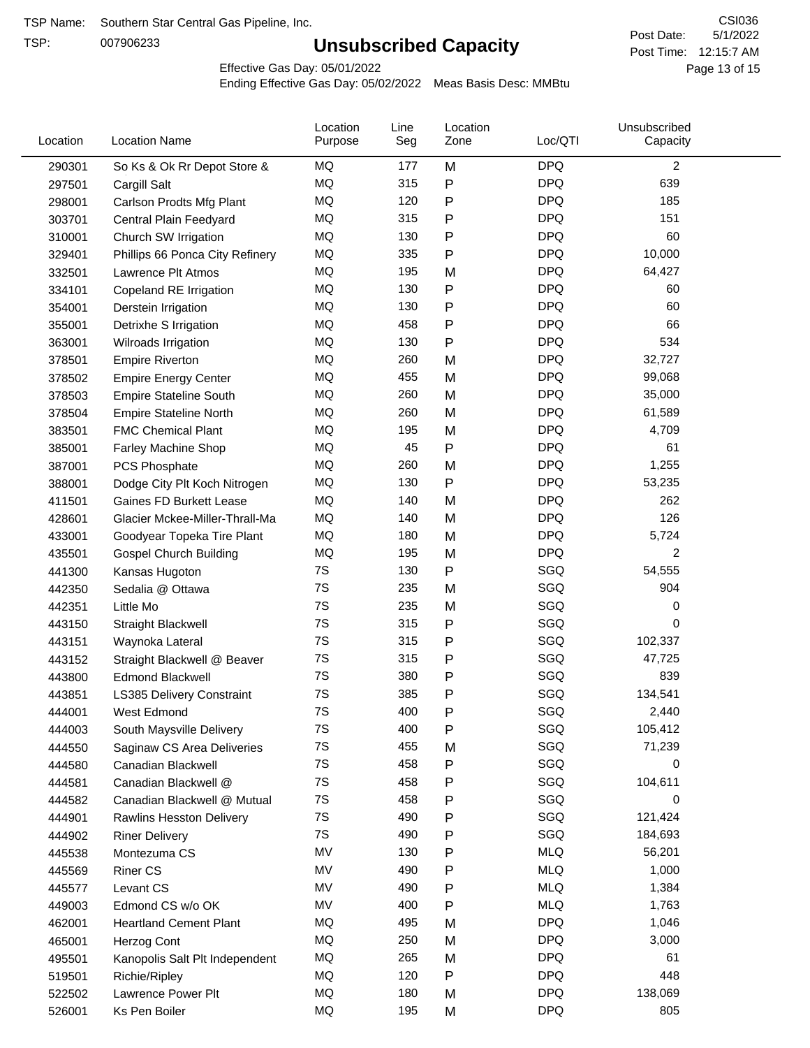TSP:

# **Unsubscribed Capacity**

5/1/2022 Page 13 of 15 Post Time: 12:15:7 AM CSI036 Post Date:

Effective Gas Day: 05/01/2022

| Location | <b>Location Name</b>             | Location<br>Purpose | Line<br>Seg | Location<br>Zone | Loc/QTI    | Unsubscribed<br>Capacity |  |
|----------|----------------------------------|---------------------|-------------|------------------|------------|--------------------------|--|
| 290301   | So Ks & Ok Rr Depot Store &      | MQ                  | 177         | M                | <b>DPQ</b> | $\overline{2}$           |  |
| 297501   | Cargill Salt                     | MQ                  | 315         | P                | <b>DPQ</b> | 639                      |  |
| 298001   | Carlson Prodts Mfg Plant         | MQ                  | 120         | Ρ                | <b>DPQ</b> | 185                      |  |
| 303701   | Central Plain Feedyard           | MQ                  | 315         | Ρ                | <b>DPQ</b> | 151                      |  |
| 310001   | Church SW Irrigation             | MQ                  | 130         | Ρ                | <b>DPQ</b> | 60                       |  |
| 329401   | Phillips 66 Ponca City Refinery  | MQ                  | 335         | Ρ                | <b>DPQ</b> | 10,000                   |  |
| 332501   | Lawrence Plt Atmos               | MQ                  | 195         | M                | <b>DPQ</b> | 64,427                   |  |
| 334101   | Copeland RE Irrigation           | MQ                  | 130         | P                | <b>DPQ</b> | 60                       |  |
| 354001   | Derstein Irrigation              | MQ                  | 130         | P                | <b>DPQ</b> | 60                       |  |
| 355001   | Detrixhe S Irrigation            | MQ                  | 458         | P                | <b>DPQ</b> | 66                       |  |
| 363001   | Wilroads Irrigation              | MQ                  | 130         | Ρ                | <b>DPQ</b> | 534                      |  |
| 378501   | <b>Empire Riverton</b>           | MQ                  | 260         | M                | <b>DPQ</b> | 32,727                   |  |
| 378502   | <b>Empire Energy Center</b>      | MQ                  | 455         | M                | <b>DPQ</b> | 99,068                   |  |
| 378503   | <b>Empire Stateline South</b>    | MQ                  | 260         | M                | <b>DPQ</b> | 35,000                   |  |
| 378504   | <b>Empire Stateline North</b>    | MQ                  | 260         | M                | <b>DPQ</b> | 61,589                   |  |
| 383501   | <b>FMC Chemical Plant</b>        | MQ                  | 195         | M                | <b>DPQ</b> | 4,709                    |  |
| 385001   | Farley Machine Shop              | MQ                  | 45          | P                | <b>DPQ</b> | 61                       |  |
| 387001   | PCS Phosphate                    | MQ                  | 260         | M                | <b>DPQ</b> | 1,255                    |  |
| 388001   | Dodge City Plt Koch Nitrogen     | MQ                  | 130         | P                | <b>DPQ</b> | 53,235                   |  |
| 411501   | <b>Gaines FD Burkett Lease</b>   | MQ                  | 140         | M                | <b>DPQ</b> | 262                      |  |
| 428601   | Glacier Mckee-Miller-Thrall-Ma   | MQ                  | 140         | M                | <b>DPQ</b> | 126                      |  |
| 433001   | Goodyear Topeka Tire Plant       | MQ                  | 180         | M                | <b>DPQ</b> | 5,724                    |  |
| 435501   | <b>Gospel Church Building</b>    | MQ                  | 195         | M                | <b>DPQ</b> | 2                        |  |
| 441300   | Kansas Hugoton                   | 7S                  | 130         | Ρ                | SGQ        | 54,555                   |  |
| 442350   | Sedalia @ Ottawa                 | 7S                  | 235         | M                | SGQ        | 904                      |  |
| 442351   | Little Mo                        | 7S                  | 235         | M                | SGQ        | 0                        |  |
| 443150   | <b>Straight Blackwell</b>        | 7S                  | 315         | P                | SGQ        | 0                        |  |
| 443151   | Waynoka Lateral                  | 7S                  | 315         | Ρ                | SGQ        | 102,337                  |  |
| 443152   | Straight Blackwell @ Beaver      | 7S                  | 315         | Ρ                | SGQ        | 47,725                   |  |
| 443800   | <b>Edmond Blackwell</b>          | 7S                  | 380         | P                | SGQ        | 839                      |  |
| 443851   | <b>LS385 Delivery Constraint</b> | 7S                  | 385         | Ρ                | SGQ        | 134,541                  |  |
| 444001   | West Edmond                      | 7S                  | 400         | Ρ                | SGQ        | 2,440                    |  |
| 444003   | South Maysville Delivery         | 7S                  | 400         | Ρ                | SGQ        | 105,412                  |  |
| 444550   | Saginaw CS Area Deliveries       | $7\mathrm{S}$       | 455         | M                | SGQ        | 71,239                   |  |
| 444580   | Canadian Blackwell               | 7S                  | 458         | P                | SGQ        | 0                        |  |
| 444581   | Canadian Blackwell @             | 7S                  | 458         | Ρ                | SGQ        | 104,611                  |  |
| 444582   | Canadian Blackwell @ Mutual      | 7S                  | 458         | Ρ                | SGQ        | 0                        |  |
| 444901   | <b>Rawlins Hesston Delivery</b>  | 7S                  | 490         | Ρ                | SGQ        | 121,424                  |  |
| 444902   | <b>Riner Delivery</b>            | 7S                  | 490         | Ρ                | SGQ        | 184,693                  |  |
| 445538   | Montezuma CS                     | MV                  | 130         | P                | <b>MLQ</b> | 56,201                   |  |
| 445569   | <b>Riner CS</b>                  | MV                  | 490         | Ρ                | <b>MLQ</b> | 1,000                    |  |
| 445577   | Levant CS                        | MV                  | 490         | Ρ                | <b>MLQ</b> | 1,384                    |  |
| 449003   | Edmond CS w/o OK                 | MV                  | 400         | Ρ                | <b>MLQ</b> | 1,763                    |  |
| 462001   | <b>Heartland Cement Plant</b>    | MQ                  | 495         | M                | <b>DPQ</b> | 1,046                    |  |
| 465001   | Herzog Cont                      | MQ                  | 250         | M                | <b>DPQ</b> | 3,000                    |  |
| 495501   | Kanopolis Salt Plt Independent   | MQ                  | 265         | M                | <b>DPQ</b> | 61                       |  |
| 519501   | Richie/Ripley                    | MQ                  | 120         | Ρ                | <b>DPQ</b> | 448                      |  |
| 522502   | Lawrence Power Plt               | MQ                  | 180         | M                | <b>DPQ</b> | 138,069                  |  |
| 526001   | Ks Pen Boiler                    | $\sf{MQ}$           | 195         | M                | <b>DPQ</b> | 805                      |  |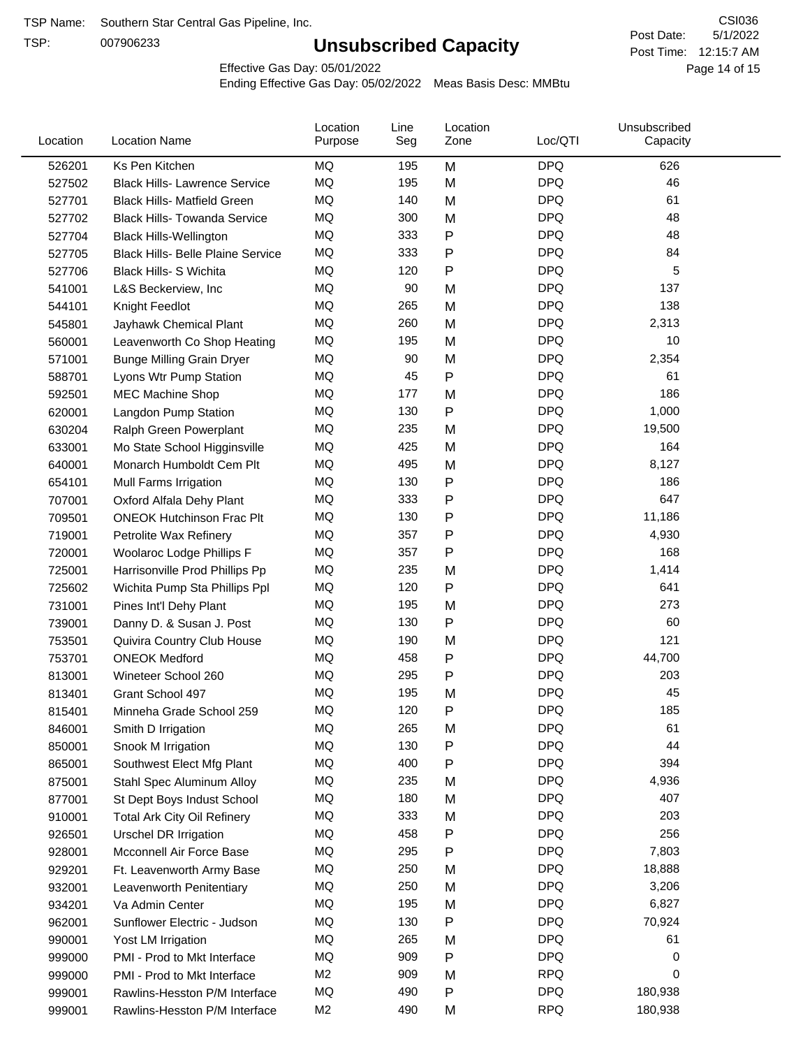TSP:

# **Unsubscribed Capacity**

5/1/2022 Page 14 of 15 Post Time: 12:15:7 AM CSI036 Post Date:

Effective Gas Day: 05/01/2022

| Location | <b>Location Name</b>                     | Location<br>Purpose | Line<br>Seg | Location<br>Zone | Loc/QTI    | Unsubscribed<br>Capacity |  |
|----------|------------------------------------------|---------------------|-------------|------------------|------------|--------------------------|--|
| 526201   | Ks Pen Kitchen                           | <b>MQ</b>           | 195         | M                | <b>DPQ</b> | 626                      |  |
| 527502   | <b>Black Hills- Lawrence Service</b>     | MQ                  | 195         | M                | <b>DPQ</b> | 46                       |  |
| 527701   | <b>Black Hills- Matfield Green</b>       | MQ                  | 140         | M                | <b>DPQ</b> | 61                       |  |
| 527702   | <b>Black Hills- Towanda Service</b>      | MQ                  | 300         | M                | <b>DPQ</b> | 48                       |  |
| 527704   | <b>Black Hills-Wellington</b>            | <b>MQ</b>           | 333         | P                | <b>DPQ</b> | 48                       |  |
| 527705   | <b>Black Hills- Belle Plaine Service</b> | MQ                  | 333         | Ρ                | <b>DPQ</b> | 84                       |  |
| 527706   | Black Hills- S Wichita                   | MQ                  | 120         | Ρ                | <b>DPQ</b> | 5                        |  |
| 541001   | L&S Beckerview, Inc.                     | MQ                  | 90          | M                | <b>DPQ</b> | 137                      |  |
| 544101   | Knight Feedlot                           | MQ                  | 265         | M                | <b>DPQ</b> | 138                      |  |
| 545801   | Jayhawk Chemical Plant                   | <b>MQ</b>           | 260         | M                | <b>DPQ</b> | 2,313                    |  |
| 560001   | Leavenworth Co Shop Heating              | MQ                  | 195         | M                | <b>DPQ</b> | 10                       |  |
| 571001   | <b>Bunge Milling Grain Dryer</b>         | MQ                  | 90          | M                | <b>DPQ</b> | 2,354                    |  |
| 588701   | Lyons Wtr Pump Station                   | MQ                  | 45          | P                | <b>DPQ</b> | 61                       |  |
| 592501   | <b>MEC Machine Shop</b>                  | MQ                  | 177         | M                | <b>DPQ</b> | 186                      |  |
| 620001   | Langdon Pump Station                     | MQ                  | 130         | P                | <b>DPQ</b> | 1,000                    |  |
| 630204   | Ralph Green Powerplant                   | MQ                  | 235         | M                | <b>DPQ</b> | 19,500                   |  |
| 633001   | Mo State School Higginsville             | MQ                  | 425         | M                | <b>DPQ</b> | 164                      |  |
| 640001   | Monarch Humboldt Cem Plt                 | MQ                  | 495         | M                | <b>DPQ</b> | 8,127                    |  |
| 654101   | Mull Farms Irrigation                    | MQ                  | 130         | P                | <b>DPQ</b> | 186                      |  |
| 707001   | Oxford Alfala Dehy Plant                 | MQ                  | 333         | Ρ                | <b>DPQ</b> | 647                      |  |
| 709501   | <b>ONEOK Hutchinson Frac Plt</b>         | MQ                  | 130         | P                | <b>DPQ</b> | 11,186                   |  |
| 719001   | Petrolite Wax Refinery                   | MQ                  | 357         | Ρ                | <b>DPQ</b> | 4,930                    |  |
| 720001   | Woolaroc Lodge Phillips F                | MQ                  | 357         | Ρ                | <b>DPQ</b> | 168                      |  |
| 725001   | Harrisonville Prod Phillips Pp           | MQ                  | 235         | M                | <b>DPQ</b> | 1,414                    |  |
| 725602   | Wichita Pump Sta Phillips Ppl            | MQ                  | 120         | Ρ                | <b>DPQ</b> | 641                      |  |
| 731001   | Pines Int'l Dehy Plant                   | MQ                  | 195         | M                | <b>DPQ</b> | 273                      |  |
| 739001   | Danny D. & Susan J. Post                 | MQ                  | 130         | Ρ                | <b>DPQ</b> | 60                       |  |
| 753501   | Quivira Country Club House               | MQ                  | 190         | M                | <b>DPQ</b> | 121                      |  |
| 753701   | <b>ONEOK Medford</b>                     | MQ                  | 458         | Ρ                | <b>DPQ</b> | 44,700                   |  |
| 813001   | Wineteer School 260                      | MQ                  | 295         | P                | <b>DPQ</b> | 203                      |  |
| 813401   | Grant School 497                         | MQ                  | 195         | M                | <b>DPQ</b> | 45                       |  |
| 815401   | Minneha Grade School 259                 | MQ                  | 120         | P                | <b>DPQ</b> | 185                      |  |
| 846001   | Smith D Irrigation                       | MQ                  | 265         | M                | <b>DPQ</b> | 61                       |  |
| 850001   | Snook M Irrigation                       | MQ                  | 130         | Ρ                | <b>DPQ</b> | 44                       |  |
| 865001   | Southwest Elect Mfg Plant                | MQ                  | 400         | P                | <b>DPQ</b> | 394                      |  |
| 875001   | Stahl Spec Aluminum Alloy                | MQ                  | 235         | M                | <b>DPQ</b> | 4,936                    |  |
| 877001   | St Dept Boys Indust School               | MQ                  | 180         | M                | <b>DPQ</b> | 407                      |  |
| 910001   | <b>Total Ark City Oil Refinery</b>       | MQ                  | 333         | M                | <b>DPQ</b> | 203                      |  |
| 926501   | <b>Urschel DR Irrigation</b>             | MQ                  | 458         | Ρ                | <b>DPQ</b> | 256                      |  |
| 928001   | Mcconnell Air Force Base                 | MQ                  | 295         | Ρ                | <b>DPQ</b> | 7,803                    |  |
| 929201   | Ft. Leavenworth Army Base                | MQ                  | 250         | M                | <b>DPQ</b> | 18,888                   |  |
| 932001   | Leavenworth Penitentiary                 | MQ                  | 250         | M                | <b>DPQ</b> | 3,206                    |  |
| 934201   | Va Admin Center                          | MQ                  | 195         | M                | <b>DPQ</b> | 6,827                    |  |
| 962001   | Sunflower Electric - Judson              | MQ                  | 130         | Ρ                | <b>DPQ</b> | 70,924                   |  |
| 990001   | Yost LM Irrigation                       | MQ                  | 265         | M                | <b>DPQ</b> | 61                       |  |
| 999000   | PMI - Prod to Mkt Interface              | MQ                  | 909         | Ρ                | <b>DPQ</b> | 0                        |  |
| 999000   | PMI - Prod to Mkt Interface              | M <sub>2</sub>      | 909         | M                | <b>RPQ</b> | 0                        |  |
| 999001   | Rawlins-Hesston P/M Interface            | MQ                  | 490         | Ρ                | <b>DPQ</b> | 180,938                  |  |
| 999001   | Rawlins-Hesston P/M Interface            | M <sub>2</sub>      | 490         | M                | <b>RPQ</b> | 180,938                  |  |